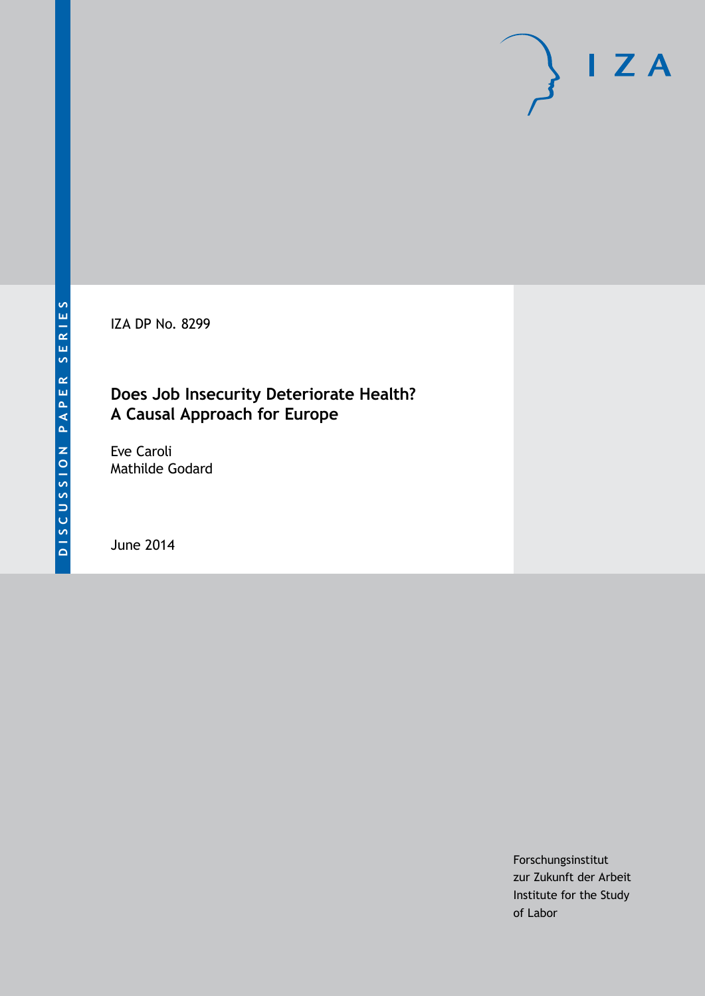IZA DP No. 8299

# **Does Job Insecurity Deteriorate Health? A Causal Approach for Europe**

Eve Caroli Mathilde Godard

June 2014

Forschungsinstitut zur Zukunft der Arbeit Institute for the Study of Labor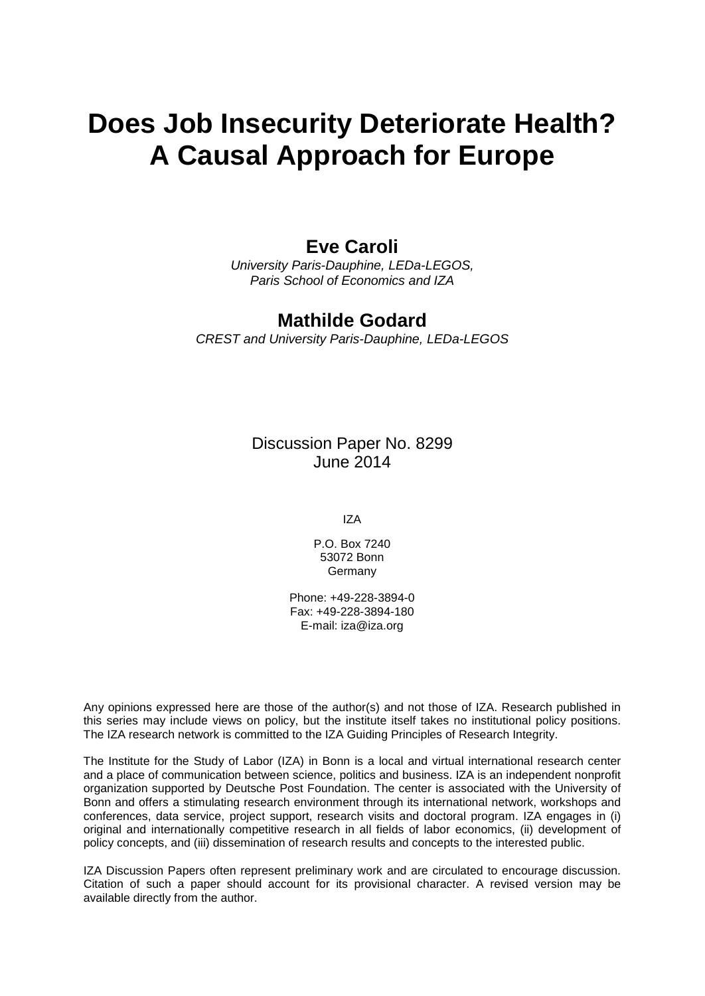# **Does Job Insecurity Deteriorate Health? A Causal Approach for Europe**

### **Eve Caroli**

*University Paris-Dauphine, LEDa-LEGOS, Paris School of Economics and IZA*

### **Mathilde Godard**

*CREST and University Paris-Dauphine, LEDa-LEGOS*

Discussion Paper No. 8299 June 2014

IZA

P.O. Box 7240 53072 Bonn Germany

Phone: +49-228-3894-0 Fax: +49-228-3894-180 E-mail: [iza@iza.org](mailto:iza@iza.org)

Any opinions expressed here are those of the author(s) and not those of IZA. Research published in this series may include views on policy, but the institute itself takes no institutional policy positions. The IZA research network is committed to the IZA Guiding Principles of Research Integrity.

The Institute for the Study of Labor (IZA) in Bonn is a local and virtual international research center and a place of communication between science, politics and business. IZA is an independent nonprofit organization supported by Deutsche Post Foundation. The center is associated with the University of Bonn and offers a stimulating research environment through its international network, workshops and conferences, data service, project support, research visits and doctoral program. IZA engages in (i) original and internationally competitive research in all fields of labor economics, (ii) development of policy concepts, and (iii) dissemination of research results and concepts to the interested public.

<span id="page-1-0"></span>IZA Discussion Papers often represent preliminary work and are circulated to encourage discussion. Citation of such a paper should account for its provisional character. A revised version may be available directly from the author.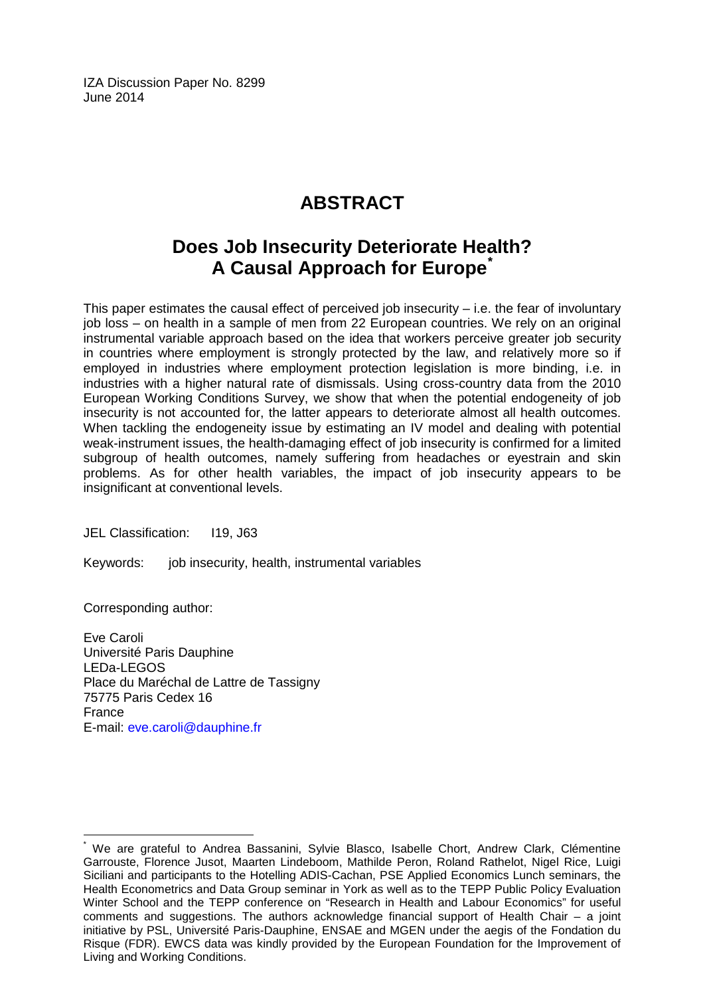IZA Discussion Paper No. 8299 June 2014

# **ABSTRACT**

# **Does Job Insecurity Deteriorate Health? A Causal Approach for Europe[\\*](#page-1-0)**

This paper estimates the causal effect of perceived job insecurity  $-$  i.e. the fear of involuntary job loss – on health in a sample of men from 22 European countries. We rely on an original instrumental variable approach based on the idea that workers perceive greater job security in countries where employment is strongly protected by the law, and relatively more so if employed in industries where employment protection legislation is more binding, i.e. in industries with a higher natural rate of dismissals. Using cross-country data from the 2010 European Working Conditions Survey, we show that when the potential endogeneity of job insecurity is not accounted for, the latter appears to deteriorate almost all health outcomes. When tackling the endogeneity issue by estimating an IV model and dealing with potential weak-instrument issues, the health-damaging effect of job insecurity is confirmed for a limited subgroup of health outcomes, namely suffering from headaches or eyestrain and skin problems. As for other health variables, the impact of job insecurity appears to be insignificant at conventional levels.

JEL Classification: I19, J63

Keywords: job insecurity, health, instrumental variables

Corresponding author:

Eve Caroli Université Paris Dauphine LEDa-LEGOS Place du Maréchal de Lattre de Tassigny 75775 Paris Cedex 16 France E-mail: [eve.caroli@dauphine.fr](mailto:eve.caroli@dauphine.fr)

We are grateful to Andrea Bassanini, Sylvie Blasco, Isabelle Chort, Andrew Clark, Clémentine Garrouste, Florence Jusot, Maarten Lindeboom, Mathilde Peron, Roland Rathelot, Nigel Rice, Luigi Siciliani and participants to the Hotelling ADIS-Cachan, PSE Applied Economics Lunch seminars, the Health Econometrics and Data Group seminar in York as well as to the TEPP Public Policy Evaluation Winter School and the TEPP conference on "Research in Health and Labour Economics" for useful comments and suggestions. The authors acknowledge financial support of Health Chair – a joint initiative by PSL, Université Paris-Dauphine, ENSAE and MGEN under the aegis of the Fondation du Risque (FDR). EWCS data was kindly provided by the European Foundation for the Improvement of Living and Working Conditions.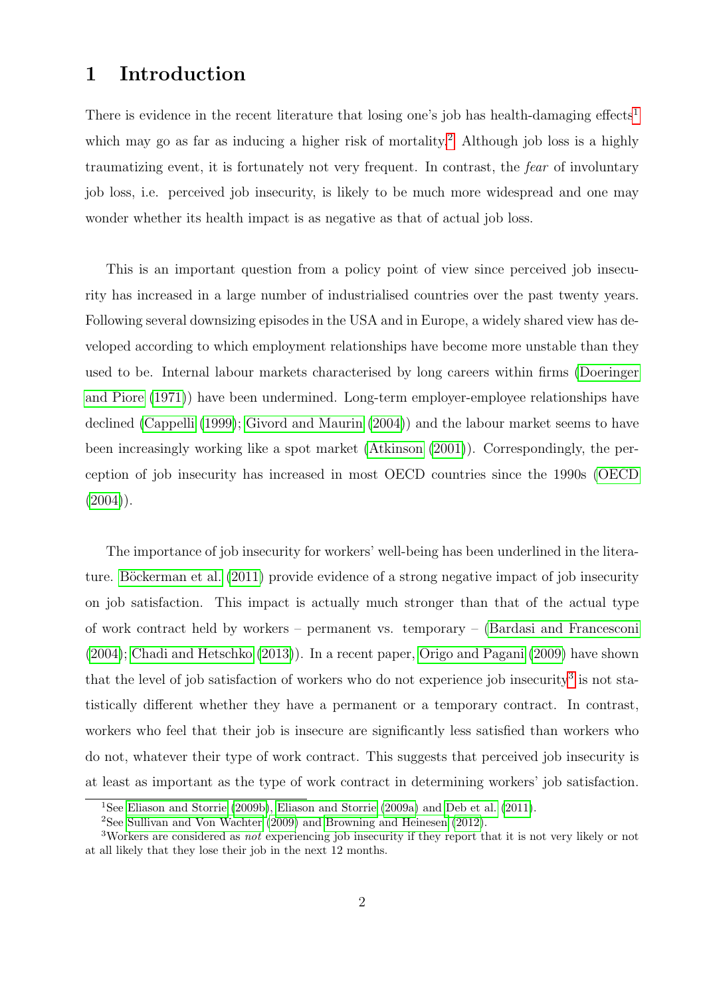# 1 Introduction

There is evidence in the recent literature that losing one's job has health-damaging effects<sup>[1](#page--1-0)</sup> which may go as far as inducing a higher risk of mortality.<sup>[2](#page--1-0)</sup> Although job loss is a highly traumatizing event, it is fortunately not very frequent. In contrast, the fear of involuntary job loss, i.e. perceived job insecurity, is likely to be much more widespread and one may wonder whether its health impact is as negative as that of actual job loss.

This is an important question from a policy point of view since perceived job insecurity has increased in a large number of industrialised countries over the past twenty years. Following several downsizing episodes in the USA and in Europe, a widely shared view has developed according to which employment relationships have become more unstable than they used to be. Internal labour markets characterised by long careers within firms [\(Doeringer](#page-26-0) [and Piore](#page-26-0) [\(1971\)](#page-26-0)) have been undermined. Long-term employer-employee relationships have declined [\(Cappelli](#page-25-0) [\(1999\)](#page-25-0); [Givord and Maurin](#page-27-0) [\(2004\)](#page-27-0)) and the labour market seems to have been increasingly working like a spot market [\(Atkinson](#page-25-1) [\(2001\)](#page-25-1)). Correspondingly, the perception of job insecurity has increased in most OECD countries since the 1990s [\(OECD](#page-28-0)  $(2004)$ ).

The importance of job insecurity for workers' well-being has been underlined in the literature. Böckerman et al.  $(2011)$  provide evidence of a strong negative impact of job insecurity on job satisfaction. This impact is actually much stronger than that of the actual type of work contract held by workers – permanent vs. temporary – [\(Bardasi and Francesconi](#page-25-3) [\(2004\)](#page-25-3); [Chadi and Hetschko](#page-26-1) [\(2013\)](#page-26-1)). In a recent paper, [Origo and Pagani](#page-28-1) [\(2009\)](#page-28-1) have shown that the level of job satisfaction of workers who do not experience job insecurity<sup>[3](#page--1-0)</sup> is not statistically different whether they have a permanent or a temporary contract. In contrast, workers who feel that their job is insecure are significantly less satisfied than workers who do not, whatever their type of work contract. This suggests that perceived job insecurity is at least as important as the type of work contract in determining workers' job satisfaction.

<sup>1</sup>See [Eliason and Storrie](#page-26-2) [\(2009b\)](#page-26-2), [Eliason and Storrie](#page-26-3) [\(2009a\)](#page-26-3) and [Deb et al.](#page-26-4) [\(2011\)](#page-26-4).

<sup>2</sup>See [Sullivan and Von Wachter](#page-29-0) [\(2009\)](#page-29-0) and [Browning and Heinesen](#page-25-4) [\(2012\)](#page-25-4).

<sup>&</sup>lt;sup>3</sup>Workers are considered as *not* experiencing job insecurity if they report that it is not very likely or not at all likely that they lose their job in the next 12 months.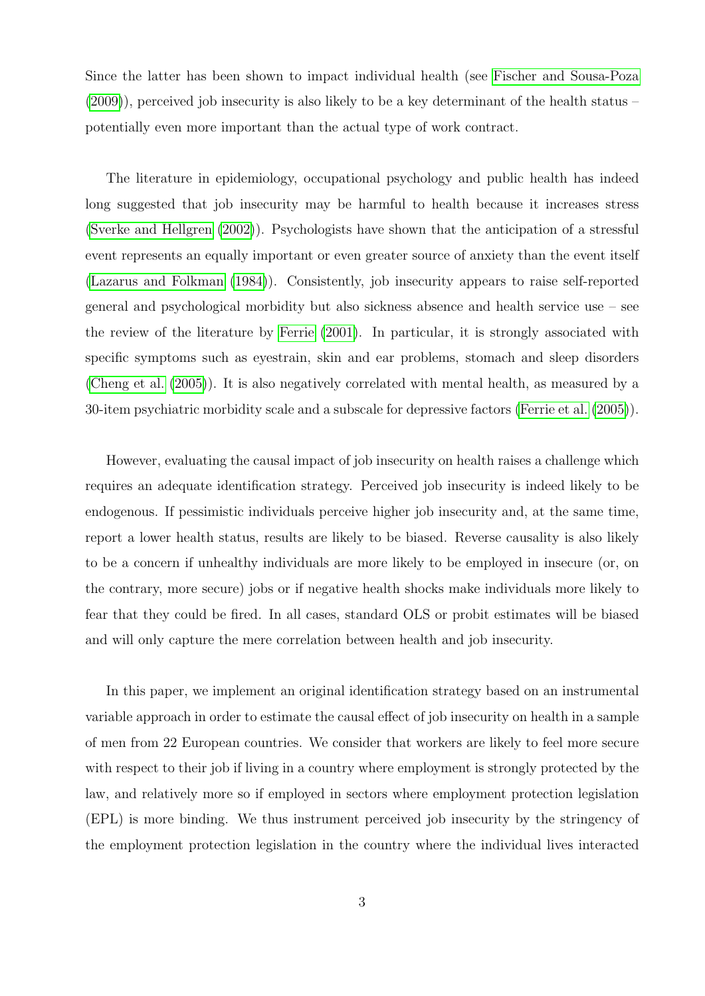Since the latter has been shown to impact individual health (see [Fischer and Sousa-Poza](#page-27-1) [\(2009\)](#page-27-1)), perceived job insecurity is also likely to be a key determinant of the health status – potentially even more important than the actual type of work contract.

The literature in epidemiology, occupational psychology and public health has indeed long suggested that job insecurity may be harmful to health because it increases stress [\(Sverke and Hellgren](#page-29-1) [\(2002\)](#page-29-1)). Psychologists have shown that the anticipation of a stressful event represents an equally important or even greater source of anxiety than the event itself [\(Lazarus and Folkman](#page-28-2) [\(1984\)](#page-28-2)). Consistently, job insecurity appears to raise self-reported general and psychological morbidity but also sickness absence and health service use – see the review of the literature by [Ferrie](#page-26-5) [\(2001\)](#page-26-5). In particular, it is strongly associated with specific symptoms such as eyestrain, skin and ear problems, stomach and sleep disorders [\(Cheng et al.](#page-26-6) [\(2005\)](#page-26-6)). It is also negatively correlated with mental health, as measured by a 30-item psychiatric morbidity scale and a subscale for depressive factors [\(Ferrie et al.](#page-27-2) [\(2005\)](#page-27-2)).

However, evaluating the causal impact of job insecurity on health raises a challenge which requires an adequate identification strategy. Perceived job insecurity is indeed likely to be endogenous. If pessimistic individuals perceive higher job insecurity and, at the same time, report a lower health status, results are likely to be biased. Reverse causality is also likely to be a concern if unhealthy individuals are more likely to be employed in insecure (or, on the contrary, more secure) jobs or if negative health shocks make individuals more likely to fear that they could be fired. In all cases, standard OLS or probit estimates will be biased and will only capture the mere correlation between health and job insecurity.

In this paper, we implement an original identification strategy based on an instrumental variable approach in order to estimate the causal effect of job insecurity on health in a sample of men from 22 European countries. We consider that workers are likely to feel more secure with respect to their job if living in a country where employment is strongly protected by the law, and relatively more so if employed in sectors where employment protection legislation (EPL) is more binding. We thus instrument perceived job insecurity by the stringency of the employment protection legislation in the country where the individual lives interacted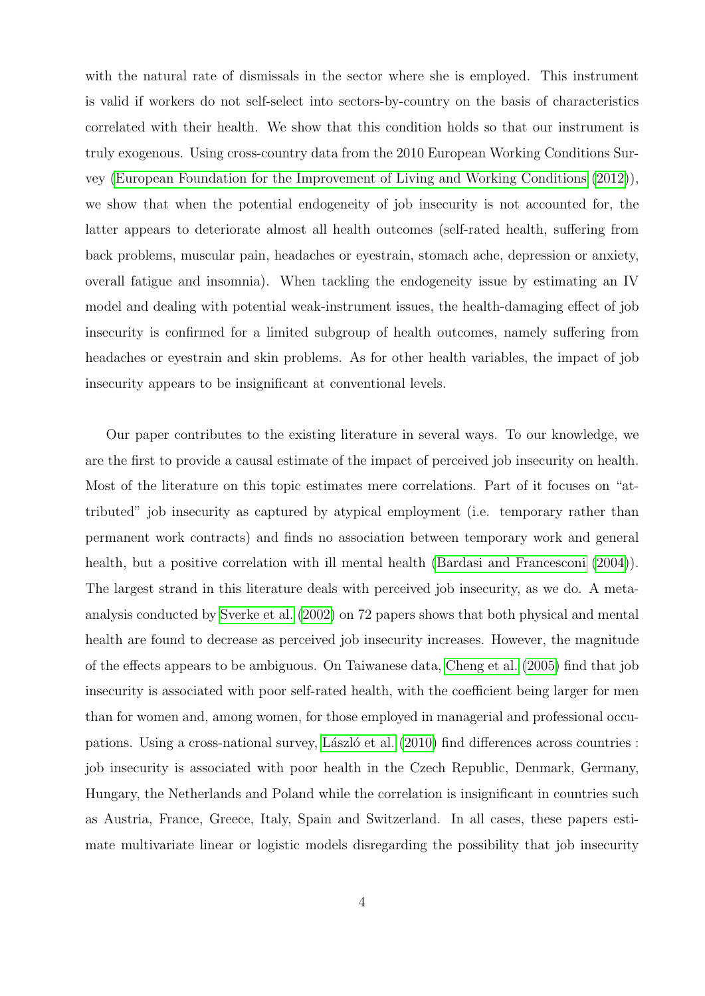with the natural rate of dismissals in the sector where she is employed. This instrument is valid if workers do not self-select into sectors-by-country on the basis of characteristics correlated with their health. We show that this condition holds so that our instrument is truly exogenous. Using cross-country data from the 2010 European Working Conditions Survey [\(European Foundation for the Improvement of Living and Working Conditions](#page-26-7) [\(2012\)](#page-26-7)), we show that when the potential endogeneity of job insecurity is not accounted for, the latter appears to deteriorate almost all health outcomes (self-rated health, suffering from back problems, muscular pain, headaches or eyestrain, stomach ache, depression or anxiety, overall fatigue and insomnia). When tackling the endogeneity issue by estimating an IV model and dealing with potential weak-instrument issues, the health-damaging effect of job insecurity is confirmed for a limited subgroup of health outcomes, namely suffering from headaches or eyestrain and skin problems. As for other health variables, the impact of job insecurity appears to be insignificant at conventional levels.

Our paper contributes to the existing literature in several ways. To our knowledge, we are the first to provide a causal estimate of the impact of perceived job insecurity on health. Most of the literature on this topic estimates mere correlations. Part of it focuses on "attributed" job insecurity as captured by atypical employment (i.e. temporary rather than permanent work contracts) and finds no association between temporary work and general health, but a positive correlation with ill mental health [\(Bardasi and Francesconi](#page-25-3) [\(2004\)](#page-25-3)). The largest strand in this literature deals with perceived job insecurity, as we do. A metaanalysis conducted by [Sverke et al.](#page-29-2) [\(2002\)](#page-29-2) on 72 papers shows that both physical and mental health are found to decrease as perceived job insecurity increases. However, the magnitude of the effects appears to be ambiguous. On Taiwanese data, [Cheng et al.](#page-26-6) [\(2005\)](#page-26-6) find that job insecurity is associated with poor self-rated health, with the coefficient being larger for men than for women and, among women, for those employed in managerial and professional occu-pations. Using a cross-national survey, László et al. [\(2010\)](#page-28-3) find differences across countries : job insecurity is associated with poor health in the Czech Republic, Denmark, Germany, Hungary, the Netherlands and Poland while the correlation is insignificant in countries such as Austria, France, Greece, Italy, Spain and Switzerland. In all cases, these papers estimate multivariate linear or logistic models disregarding the possibility that job insecurity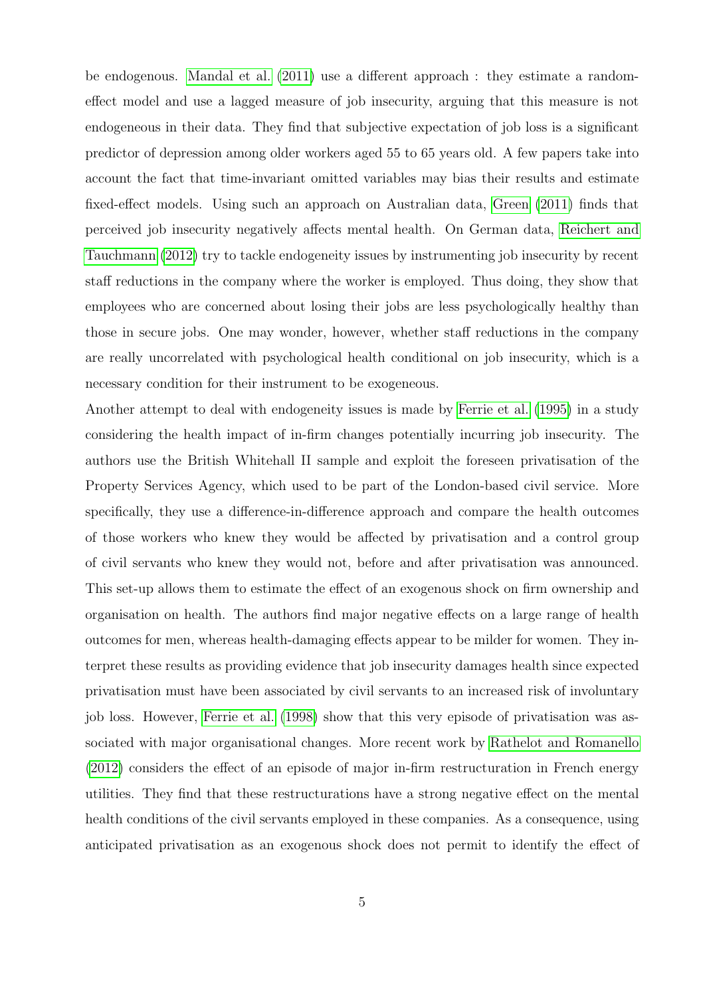be endogenous. [Mandal et al.](#page-28-4) [\(2011\)](#page-28-4) use a different approach : they estimate a randomeffect model and use a lagged measure of job insecurity, arguing that this measure is not endogeneous in their data. They find that subjective expectation of job loss is a significant predictor of depression among older workers aged 55 to 65 years old. A few papers take into account the fact that time-invariant omitted variables may bias their results and estimate fixed-effect models. Using such an approach on Australian data, [Green](#page-27-3) [\(2011\)](#page-27-3) finds that perceived job insecurity negatively affects mental health. On German data, [Reichert and](#page-28-5) [Tauchmann](#page-28-5) [\(2012\)](#page-28-5) try to tackle endogeneity issues by instrumenting job insecurity by recent staff reductions in the company where the worker is employed. Thus doing, they show that employees who are concerned about losing their jobs are less psychologically healthy than those in secure jobs. One may wonder, however, whether staff reductions in the company are really uncorrelated with psychological health conditional on job insecurity, which is a necessary condition for their instrument to be exogeneous.

Another attempt to deal with endogeneity issues is made by [Ferrie et al.](#page-26-8) [\(1995\)](#page-26-8) in a study considering the health impact of in-firm changes potentially incurring job insecurity. The authors use the British Whitehall II sample and exploit the foreseen privatisation of the Property Services Agency, which used to be part of the London-based civil service. More specifically, they use a difference-in-difference approach and compare the health outcomes of those workers who knew they would be affected by privatisation and a control group of civil servants who knew they would not, before and after privatisation was announced. This set-up allows them to estimate the effect of an exogenous shock on firm ownership and organisation on health. The authors find major negative effects on a large range of health outcomes for men, whereas health-damaging effects appear to be milder for women. They interpret these results as providing evidence that job insecurity damages health since expected privatisation must have been associated by civil servants to an increased risk of involuntary job loss. However, [Ferrie et al.](#page-27-4) [\(1998\)](#page-27-4) show that this very episode of privatisation was associated with major organisational changes. More recent work by [Rathelot and Romanello](#page-28-6) [\(2012\)](#page-28-6) considers the effect of an episode of major in-firm restructuration in French energy utilities. They find that these restructurations have a strong negative effect on the mental health conditions of the civil servants employed in these companies. As a consequence, using anticipated privatisation as an exogenous shock does not permit to identify the effect of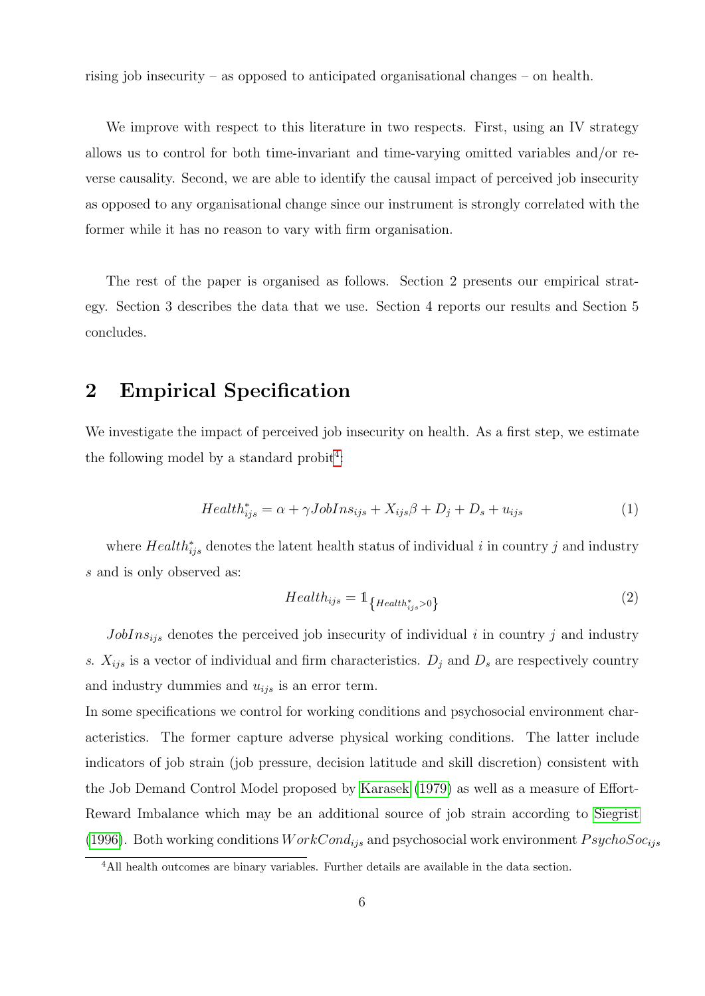rising job insecurity – as opposed to anticipated organisational changes – on health.

We improve with respect to this literature in two respects. First, using an IV strategy allows us to control for both time-invariant and time-varying omitted variables and/or reverse causality. Second, we are able to identify the causal impact of perceived job insecurity as opposed to any organisational change since our instrument is strongly correlated with the former while it has no reason to vary with firm organisation.

The rest of the paper is organised as follows. Section 2 presents our empirical strategy. Section 3 describes the data that we use. Section 4 reports our results and Section 5 concludes.

# <span id="page-7-2"></span>2 Empirical Specification

We investigate the impact of perceived job insecurity on health. As a first step, we estimate the following model by a standard probit<sup>[4](#page--1-0)</sup>:

<span id="page-7-1"></span>
$$
Health_{ijs}^{*} = \alpha + \gamma JobIns_{ijs} + X_{ijs}\beta + D_j + D_s + u_{ijs}
$$
\n<sup>(1)</sup>

where  $Health_{ijs}^*$  denotes the latent health status of individual i in country j and industry s and is only observed as:

<span id="page-7-0"></span>
$$
Health_{ijs} = 1_{\{Health_{ijs}^{*} > 0\}} \tag{2}
$$

 $JobIns<sub>ijs</sub>$  denotes the perceived job insecurity of individual i in country j and industry s.  $X_{ijs}$  is a vector of individual and firm characteristics.  $D_j$  and  $D_s$  are respectively country and industry dummies and  $u_{ijs}$  is an error term.

In some specifications we control for working conditions and psychosocial environment characteristics. The former capture adverse physical working conditions. The latter include indicators of job strain (job pressure, decision latitude and skill discretion) consistent with the Job Demand Control Model proposed by [Karasek](#page-27-5) [\(1979\)](#page-27-5) as well as a measure of Effort-Reward Imbalance which may be an additional source of job strain according to [Siegrist](#page-28-7) [\(1996\)](#page-28-7). Both working conditions  $WorkCond_{ijs}$  and psychosocial work environment  $PsychoSoc_{ijs}$ 

<sup>&</sup>lt;sup>4</sup>All health outcomes are binary variables. Further details are available in the data section.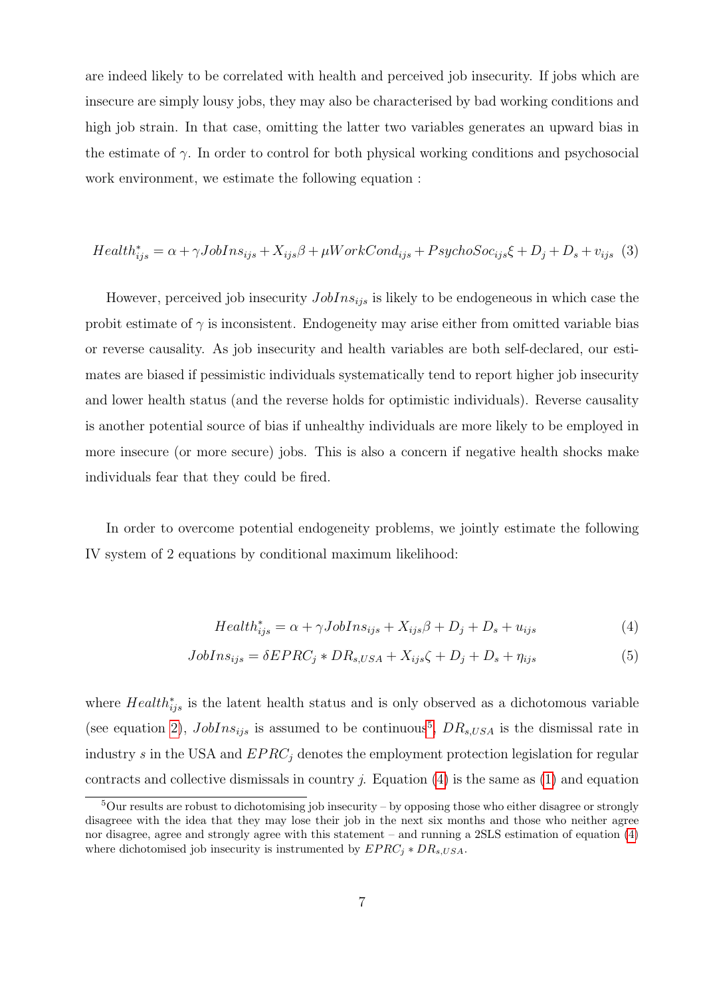are indeed likely to be correlated with health and perceived job insecurity. If jobs which are insecure are simply lousy jobs, they may also be characterised by bad working conditions and high job strain. In that case, omitting the latter two variables generates an upward bias in the estimate of  $\gamma$ . In order to control for both physical working conditions and psychosocial work environment, we estimate the following equation :

<span id="page-8-2"></span>
$$
Health_{ijs}^{*} = \alpha + \gamma JobIns_{ijs} + X_{ijs}\beta + \mu WorkCond_{ijs} + PsychoSoc_{ijs}\xi + D_j + D_s + v_{ijs} \tag{3}
$$

However, perceived job insecurity  $JobIns_{ijs}$  is likely to be endogeneous in which case the probit estimate of  $\gamma$  is inconsistent. Endogeneity may arise either from omitted variable bias or reverse causality. As job insecurity and health variables are both self-declared, our estimates are biased if pessimistic individuals systematically tend to report higher job insecurity and lower health status (and the reverse holds for optimistic individuals). Reverse causality is another potential source of bias if unhealthy individuals are more likely to be employed in more insecure (or more secure) jobs. This is also a concern if negative health shocks make individuals fear that they could be fired.

In order to overcome potential endogeneity problems, we jointly estimate the following IV system of 2 equations by conditional maximum likelihood:

<span id="page-8-1"></span><span id="page-8-0"></span>
$$
Health_{ijs}^{*} = \alpha + \gamma JobIns_{ijs} + X_{ijs}\beta + D_j + D_s + u_{ijs}
$$
\n<sup>(4)</sup>

$$
JobIns_{ijs} = \delta EPRC_j * DR_{s,USA} + X_{ijs}\zeta + D_j + D_s + \eta_{ijs}
$$
\n
$$
\tag{5}
$$

where  $Health_{ijs}^*$  is the latent health status and is only observed as a dichotomous variable (see equation [2\)](#page-7-0),  $JobIns<sub>ijs</sub>$  is assumed to be continuous<sup>[5](#page--1-0)</sup>,  $DR<sub>s,USA</sub>$  is the dismissal rate in industry s in the USA and  $EPRC_i$  denotes the employment protection legislation for regular contracts and collective dismissals in country *j*. Equation  $(4)$  is the same as  $(1)$  and equation

<sup>5</sup>Our results are robust to dichotomising job insecurity – by opposing those who either disagree or strongly disagreee with the idea that they may lose their job in the next six months and those who neither agree nor disagree, agree and strongly agree with this statement – and running a 2SLS estimation of equation [\(4\)](#page-8-0) where dichotomised job insecurity is instrumented by  $EPRC_i * DR_{s, USA}$ .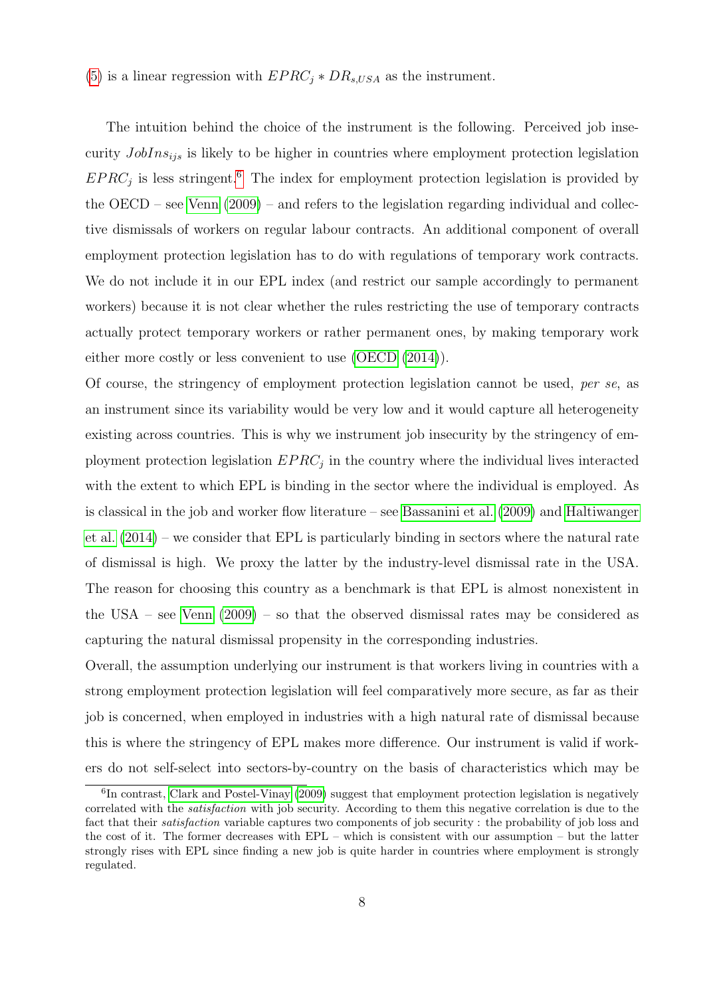[\(5\)](#page-8-1) is a linear regression with  $EPRC_i * DR_{s,USA}$  as the instrument.

The intuition behind the choice of the instrument is the following. Perceived job insecurity  $JobIns<sub>ijs</sub>$  is likely to be higher in countries where employment protection legislation  $EPRC_j$  is less stringent.<sup>[6](#page--1-0)</sup> The index for employment protection legislation is provided by the OECD – see [Venn](#page-29-3) [\(2009\)](#page-29-3) – and refers to the legislation regarding individual and collective dismissals of workers on regular labour contracts. An additional component of overall employment protection legislation has to do with regulations of temporary work contracts. We do not include it in our EPL index (and restrict our sample accordingly to permanent workers) because it is not clear whether the rules restricting the use of temporary contracts actually protect temporary workers or rather permanent ones, by making temporary work either more costly or less convenient to use [\(OECD](#page-28-8) [\(2014\)](#page-28-8)).

Of course, the stringency of employment protection legislation cannot be used, per se, as an instrument since its variability would be very low and it would capture all heterogeneity existing across countries. This is why we instrument job insecurity by the stringency of employment protection legislation  $EPRC_j$  in the country where the individual lives interacted with the extent to which EPL is binding in the sector where the individual is employed. As is classical in the job and worker flow literature – see [Bassanini et al.](#page-25-5) [\(2009\)](#page-25-5) and [Haltiwanger](#page-27-6) [et al.](#page-27-6) [\(2014\)](#page-27-6) – we consider that EPL is particularly binding in sectors where the natural rate of dismissal is high. We proxy the latter by the industry-level dismissal rate in the USA. The reason for choosing this country as a benchmark is that EPL is almost nonexistent in the USA – see [Venn](#page-29-3) [\(2009\)](#page-29-3) – so that the observed dismissal rates may be considered as capturing the natural dismissal propensity in the corresponding industries.

Overall, the assumption underlying our instrument is that workers living in countries with a strong employment protection legislation will feel comparatively more secure, as far as their job is concerned, when employed in industries with a high natural rate of dismissal because this is where the stringency of EPL makes more difference. Our instrument is valid if workers do not self-select into sectors-by-country on the basis of characteristics which may be

<sup>&</sup>lt;sup>6</sup>In contrast, [Clark and Postel-Vinay](#page-26-9) [\(2009\)](#page-26-9) suggest that employment protection legislation is negatively correlated with the satisfaction with job security. According to them this negative correlation is due to the fact that their satisfaction variable captures two components of job security : the probability of job loss and the cost of it. The former decreases with EPL – which is consistent with our assumption – but the latter strongly rises with EPL since finding a new job is quite harder in countries where employment is strongly regulated.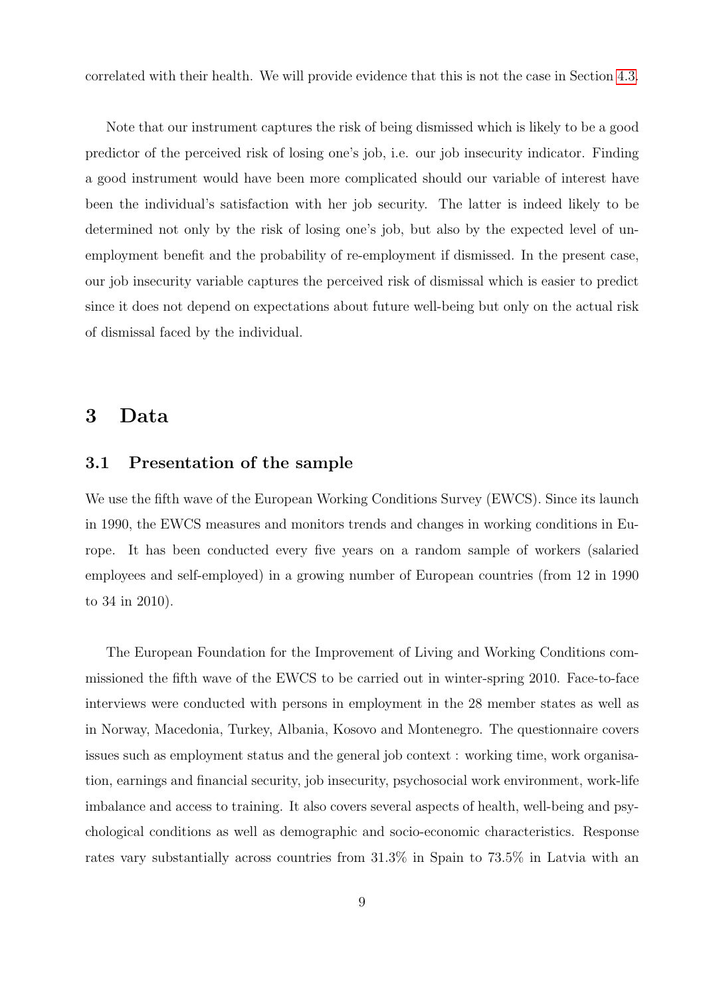correlated with their health. We will provide evidence that this is not the case in Section [4.3.](#page-20-0)

Note that our instrument captures the risk of being dismissed which is likely to be a good predictor of the perceived risk of losing one's job, i.e. our job insecurity indicator. Finding a good instrument would have been more complicated should our variable of interest have been the individual's satisfaction with her job security. The latter is indeed likely to be determined not only by the risk of losing one's job, but also by the expected level of unemployment benefit and the probability of re-employment if dismissed. In the present case, our job insecurity variable captures the perceived risk of dismissal which is easier to predict since it does not depend on expectations about future well-being but only on the actual risk of dismissal faced by the individual.

#### 3 Data

#### 3.1 Presentation of the sample

We use the fifth wave of the European Working Conditions Survey (EWCS). Since its launch in 1990, the EWCS measures and monitors trends and changes in working conditions in Europe. It has been conducted every five years on a random sample of workers (salaried employees and self-employed) in a growing number of European countries (from 12 in 1990 to 34 in 2010).

The European Foundation for the Improvement of Living and Working Conditions commissioned the fifth wave of the EWCS to be carried out in winter-spring 2010. Face-to-face interviews were conducted with persons in employment in the 28 member states as well as in Norway, Macedonia, Turkey, Albania, Kosovo and Montenegro. The questionnaire covers issues such as employment status and the general job context : working time, work organisation, earnings and financial security, job insecurity, psychosocial work environment, work-life imbalance and access to training. It also covers several aspects of health, well-being and psychological conditions as well as demographic and socio-economic characteristics. Response rates vary substantially across countries from 31.3% in Spain to 73.5% in Latvia with an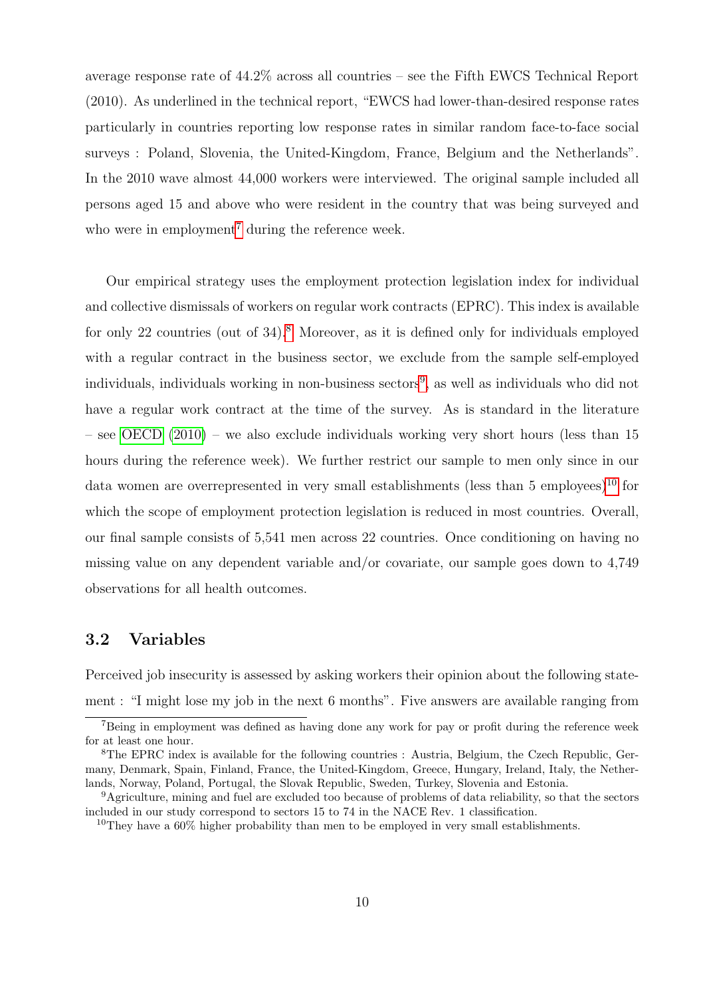average response rate of 44.2% across all countries – see the Fifth EWCS Technical Report (2010). As underlined in the technical report, "EWCS had lower-than-desired response rates particularly in countries reporting low response rates in similar random face-to-face social surveys : Poland, Slovenia, the United-Kingdom, France, Belgium and the Netherlands". In the 2010 wave almost 44,000 workers were interviewed. The original sample included all persons aged 15 and above who were resident in the country that was being surveyed and who were in employment<sup>[7](#page--1-0)</sup> during the reference week.

Our empirical strategy uses the employment protection legislation index for individual and collective dismissals of workers on regular work contracts (EPRC). This index is available for only 22 countries (out of  $34$ ).<sup>[8](#page--1-0)</sup> Moreover, as it is defined only for individuals employed with a regular contract in the business sector, we exclude from the sample self-employed individuals, individuals working in non-business sectors<sup>[9](#page--1-0)</sup>, as well as individuals who did not have a regular work contract at the time of the survey. As is standard in the literature – see [OECD](#page-28-9) [\(2010\)](#page-28-9) – we also exclude individuals working very short hours (less than 15 hours during the reference week). We further restrict our sample to men only since in our data women are overrepresented in very small establishments (less than 5 employees)<sup>[10](#page--1-0)</sup> for which the scope of employment protection legislation is reduced in most countries. Overall, our final sample consists of 5,541 men across 22 countries. Once conditioning on having no missing value on any dependent variable and/or covariate, our sample goes down to 4,749 observations for all health outcomes.

#### 3.2 Variables

Perceived job insecurity is assessed by asking workers their opinion about the following statement : "I might lose my job in the next 6 months". Five answers are available ranging from

<sup>&</sup>lt;sup>7</sup>Being in employment was defined as having done any work for pay or profit during the reference week for at least one hour.

<sup>8</sup>The EPRC index is available for the following countries : Austria, Belgium, the Czech Republic, Germany, Denmark, Spain, Finland, France, the United-Kingdom, Greece, Hungary, Ireland, Italy, the Netherlands, Norway, Poland, Portugal, the Slovak Republic, Sweden, Turkey, Slovenia and Estonia.

<sup>&</sup>lt;sup>9</sup>Agriculture, mining and fuel are excluded too because of problems of data reliability, so that the sectors included in our study correspond to sectors 15 to 74 in the NACE Rev. 1 classification.

<sup>&</sup>lt;sup>10</sup>They have a  $60\%$  higher probability than men to be employed in very small establishments.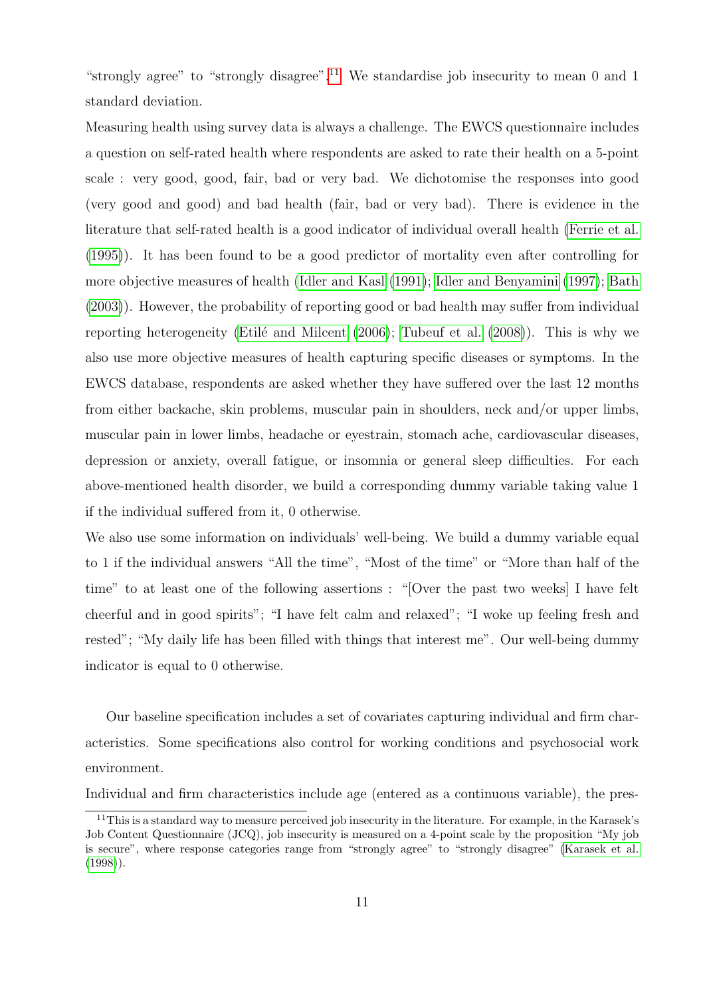"strongly agree" to "strongly disagree".<sup>[11](#page--1-0)</sup> We standardise job insecurity to mean 0 and 1 standard deviation.

Measuring health using survey data is always a challenge. The EWCS questionnaire includes a question on self-rated health where respondents are asked to rate their health on a 5-point scale : very good, good, fair, bad or very bad. We dichotomise the responses into good (very good and good) and bad health (fair, bad or very bad). There is evidence in the literature that self-rated health is a good indicator of individual overall health [\(Ferrie et al.](#page-26-8) [\(1995\)](#page-26-8)). It has been found to be a good predictor of mortality even after controlling for more objective measures of health [\(Idler and Kasl](#page-27-7) [\(1991\)](#page-27-7); [Idler and Benyamini](#page-27-8) [\(1997\)](#page-27-8); [Bath](#page-25-6) [\(2003\)](#page-25-6)). However, the probability of reporting good or bad health may suffer from individual reporting heterogeneity (Etilé and Milcent  $(2006)$ ; [Tubeuf et al.](#page-29-4)  $(2008)$ ). This is why we also use more objective measures of health capturing specific diseases or symptoms. In the EWCS database, respondents are asked whether they have suffered over the last 12 months from either backache, skin problems, muscular pain in shoulders, neck and/or upper limbs, muscular pain in lower limbs, headache or eyestrain, stomach ache, cardiovascular diseases, depression or anxiety, overall fatigue, or insomnia or general sleep difficulties. For each above-mentioned health disorder, we build a corresponding dummy variable taking value 1 if the individual suffered from it, 0 otherwise.

We also use some information on individuals' well-being. We build a dummy variable equal to 1 if the individual answers "All the time", "Most of the time" or "More than half of the time" to at least one of the following assertions : "[Over the past two weeks] I have felt cheerful and in good spirits"; "I have felt calm and relaxed"; "I woke up feeling fresh and rested"; "My daily life has been filled with things that interest me". Our well-being dummy indicator is equal to 0 otherwise.

Our baseline specification includes a set of covariates capturing individual and firm characteristics. Some specifications also control for working conditions and psychosocial work environment.

Individual and firm characteristics include age (entered as a continuous variable), the pres-

<sup>&</sup>lt;sup>11</sup>This is a standard way to measure perceived job insecurity in the literature. For example, in the Karasek's Job Content Questionnaire (JCQ), job insecurity is measured on a 4-point scale by the proposition "My job is secure", where response categories range from "strongly agree" to "strongly disagree" [\(Karasek et al.](#page-27-9) [\(1998\)](#page-27-9)).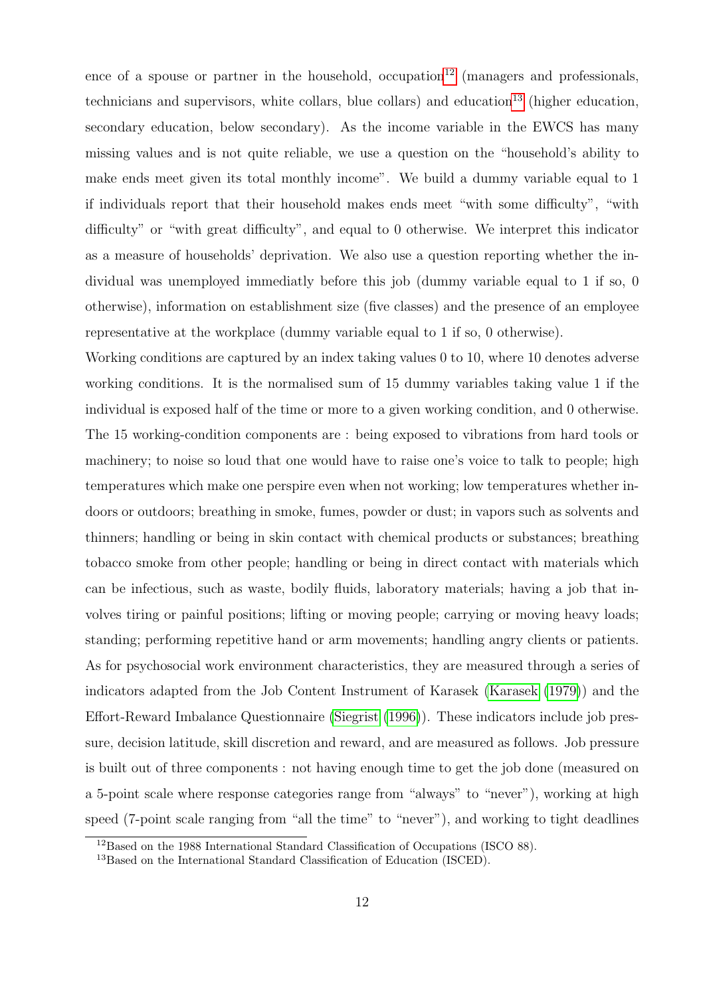ence of a spouse or partner in the household, occupation<sup>[12](#page--1-0)</sup> (managers and professionals, technicians and supervisors, white collars, blue collars) and education<sup>[13](#page--1-0)</sup> (higher education, secondary education, below secondary). As the income variable in the EWCS has many missing values and is not quite reliable, we use a question on the "household's ability to make ends meet given its total monthly income". We build a dummy variable equal to 1 if individuals report that their household makes ends meet "with some difficulty", "with difficulty" or "with great difficulty", and equal to 0 otherwise. We interpret this indicator as a measure of households' deprivation. We also use a question reporting whether the individual was unemployed immediatly before this job (dummy variable equal to 1 if so, 0 otherwise), information on establishment size (five classes) and the presence of an employee representative at the workplace (dummy variable equal to 1 if so, 0 otherwise).

Working conditions are captured by an index taking values 0 to 10, where 10 denotes adverse working conditions. It is the normalised sum of 15 dummy variables taking value 1 if the individual is exposed half of the time or more to a given working condition, and 0 otherwise. The 15 working-condition components are : being exposed to vibrations from hard tools or machinery; to noise so loud that one would have to raise one's voice to talk to people; high temperatures which make one perspire even when not working; low temperatures whether indoors or outdoors; breathing in smoke, fumes, powder or dust; in vapors such as solvents and thinners; handling or being in skin contact with chemical products or substances; breathing tobacco smoke from other people; handling or being in direct contact with materials which can be infectious, such as waste, bodily fluids, laboratory materials; having a job that involves tiring or painful positions; lifting or moving people; carrying or moving heavy loads; standing; performing repetitive hand or arm movements; handling angry clients or patients. As for psychosocial work environment characteristics, they are measured through a series of indicators adapted from the Job Content Instrument of Karasek [\(Karasek](#page-27-5) [\(1979\)](#page-27-5)) and the Effort-Reward Imbalance Questionnaire [\(Siegrist](#page-28-7) [\(1996\)](#page-28-7)). These indicators include job pressure, decision latitude, skill discretion and reward, and are measured as follows. Job pressure is built out of three components : not having enough time to get the job done (measured on a 5-point scale where response categories range from "always" to "never"), working at high speed (7-point scale ranging from "all the time" to "never"), and working to tight deadlines

<sup>12</sup>Based on the 1988 International Standard Classification of Occupations (ISCO 88).

<sup>13</sup>Based on the International Standard Classification of Education (ISCED).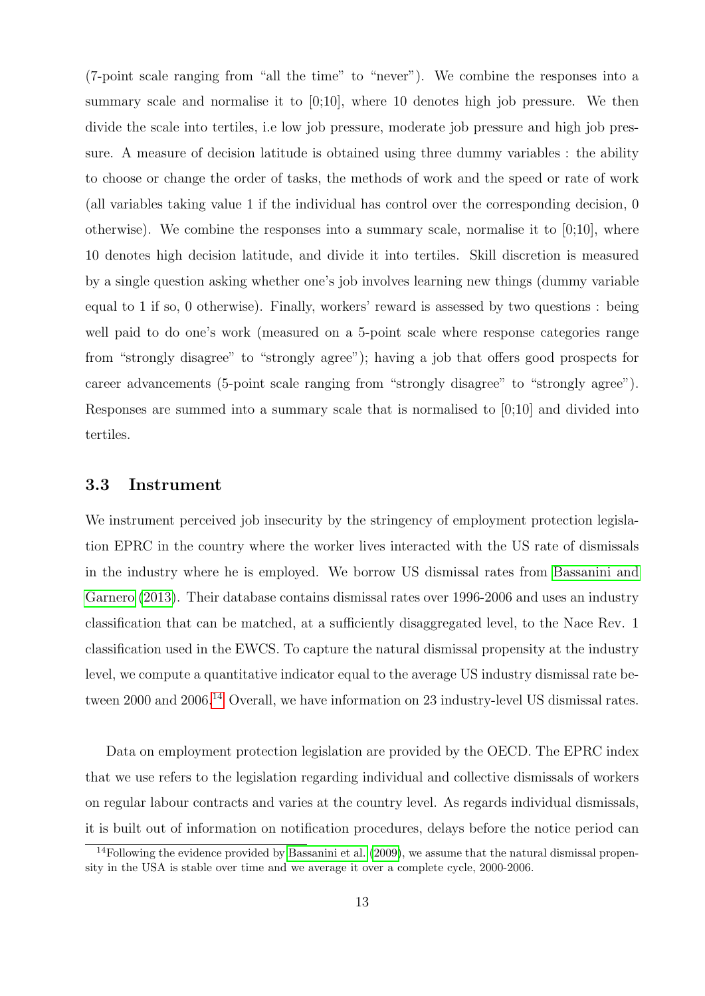(7-point scale ranging from "all the time" to "never"). We combine the responses into a summary scale and normalise it to  $[0,10]$ , where 10 denotes high job pressure. We then divide the scale into tertiles, i.e low job pressure, moderate job pressure and high job pressure. A measure of decision latitude is obtained using three dummy variables : the ability to choose or change the order of tasks, the methods of work and the speed or rate of work (all variables taking value 1 if the individual has control over the corresponding decision, 0 otherwise). We combine the responses into a summary scale, normalise it to  $[0;10]$ , where 10 denotes high decision latitude, and divide it into tertiles. Skill discretion is measured by a single question asking whether one's job involves learning new things (dummy variable equal to 1 if so, 0 otherwise). Finally, workers' reward is assessed by two questions : being well paid to do one's work (measured on a 5-point scale where response categories range from "strongly disagree" to "strongly agree"); having a job that offers good prospects for career advancements (5-point scale ranging from "strongly disagree" to "strongly agree"). Responses are summed into a summary scale that is normalised to [0;10] and divided into tertiles.

#### 3.3 Instrument

We instrument perceived job insecurity by the stringency of employment protection legislation EPRC in the country where the worker lives interacted with the US rate of dismissals in the industry where he is employed. We borrow US dismissal rates from [Bassanini and](#page-25-7) [Garnero](#page-25-7) [\(2013\)](#page-25-7). Their database contains dismissal rates over 1996-2006 and uses an industry classification that can be matched, at a sufficiently disaggregated level, to the Nace Rev. 1 classification used in the EWCS. To capture the natural dismissal propensity at the industry level, we compute a quantitative indicator equal to the average US industry dismissal rate be-tween 2000 and 2006.<sup>[14](#page--1-0)</sup> Overall, we have information on 23 industry-level US dismissal rates.

Data on employment protection legislation are provided by the OECD. The EPRC index that we use refers to the legislation regarding individual and collective dismissals of workers on regular labour contracts and varies at the country level. As regards individual dismissals, it is built out of information on notification procedures, delays before the notice period can

<sup>&</sup>lt;sup>14</sup>Following the evidence provided by [Bassanini et al.](#page-25-5)  $(2009)$ , we assume that the natural dismissal propensity in the USA is stable over time and we average it over a complete cycle, 2000-2006.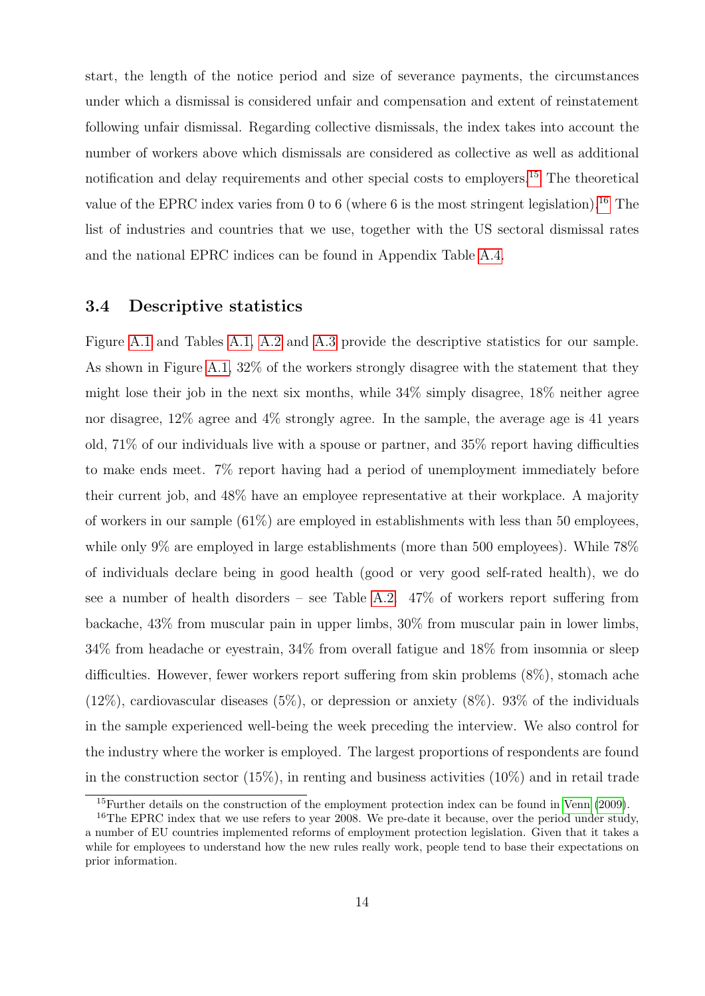start, the length of the notice period and size of severance payments, the circumstances under which a dismissal is considered unfair and compensation and extent of reinstatement following unfair dismissal. Regarding collective dismissals, the index takes into account the number of workers above which dismissals are considered as collective as well as additional notification and delay requirements and other special costs to employers.[15](#page--1-0) The theoretical value of the EPRC index varies from 0 to 6 (where 6 is the most stringent legislation).<sup>[16](#page--1-0)</sup> The list of industries and countries that we use, together with the US sectoral dismissal rates and the national EPRC indices can be found in Appendix Table [A.4.](#page-37-0)

#### 3.4 Descriptive statistics

Figure [A.1](#page-30-0) and Tables [A.1,](#page-34-0) [A.2](#page-35-0) and [A.3](#page-36-0) provide the descriptive statistics for our sample. As shown in Figure [A.1,](#page-30-0) 32% of the workers strongly disagree with the statement that they might lose their job in the next six months, while 34% simply disagree, 18% neither agree nor disagree, 12% agree and 4% strongly agree. In the sample, the average age is 41 years old, 71% of our individuals live with a spouse or partner, and 35% report having difficulties to make ends meet. 7% report having had a period of unemployment immediately before their current job, and 48% have an employee representative at their workplace. A majority of workers in our sample (61%) are employed in establishments with less than 50 employees, while only 9% are employed in large establishments (more than 500 employees). While  $78\%$ of individuals declare being in good health (good or very good self-rated health), we do see a number of health disorders – see Table [A.2.](#page-35-0) 47% of workers report suffering from backache, 43% from muscular pain in upper limbs, 30% from muscular pain in lower limbs, 34% from headache or eyestrain, 34% from overall fatigue and 18% from insomnia or sleep difficulties. However, fewer workers report suffering from skin problems (8%), stomach ache  $(12\%)$ , cardiovascular diseases  $(5\%)$ , or depression or anxiety  $(8\%)$ . 93% of the individuals in the sample experienced well-being the week preceding the interview. We also control for the industry where the worker is employed. The largest proportions of respondents are found in the construction sector  $(15\%)$ , in renting and business activities  $(10\%)$  and in retail trade

<sup>15</sup>Further details on the construction of the employment protection index can be found in [Venn](#page-29-3) [\(2009\)](#page-29-3).

<sup>&</sup>lt;sup>16</sup>The EPRC index that we use refers to year 2008. We pre-date it because, over the period under study, a number of EU countries implemented reforms of employment protection legislation. Given that it takes a while for employees to understand how the new rules really work, people tend to base their expectations on prior information.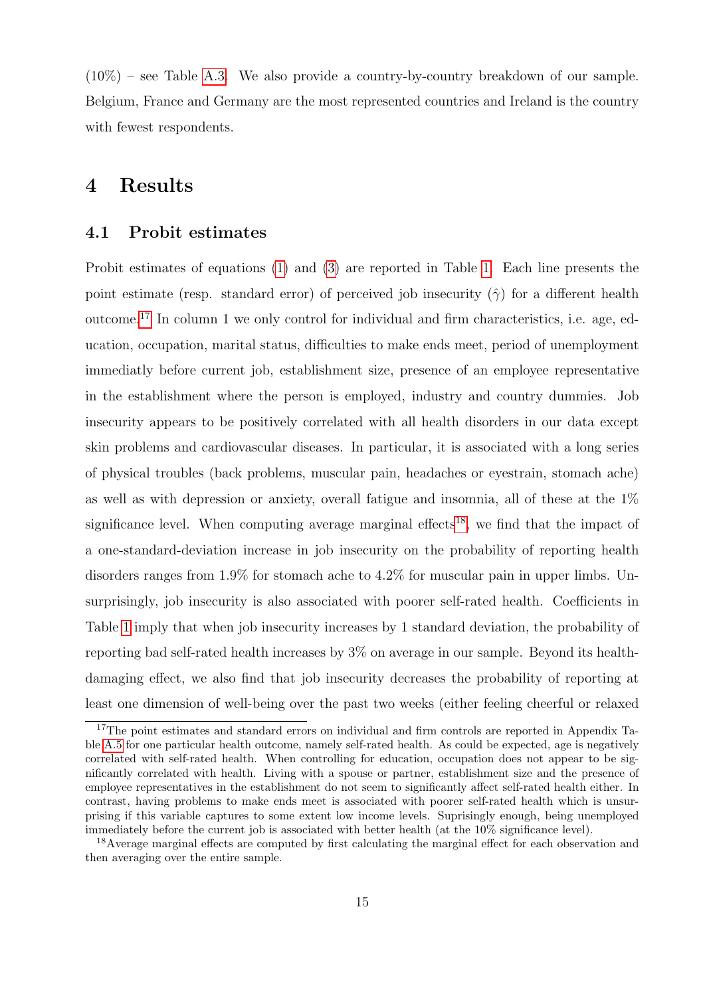$(10\%)$  – see Table [A.3.](#page-36-0) We also provide a country-by-country breakdown of our sample. Belgium, France and Germany are the most represented countries and Ireland is the country with fewest respondents.

# 4 Results

#### 4.1 Probit estimates

Probit estimates of equations [\(1\)](#page-7-1) and [\(3\)](#page-8-2) are reported in Table [1.](#page-31-0) Each line presents the point estimate (resp. standard error) of perceived job insecurity  $(\hat{\gamma})$  for a different health outcome.[17](#page--1-0) In column 1 we only control for individual and firm characteristics, i.e. age, education, occupation, marital status, difficulties to make ends meet, period of unemployment immediatly before current job, establishment size, presence of an employee representative in the establishment where the person is employed, industry and country dummies. Job insecurity appears to be positively correlated with all health disorders in our data except skin problems and cardiovascular diseases. In particular, it is associated with a long series of physical troubles (back problems, muscular pain, headaches or eyestrain, stomach ache) as well as with depression or anxiety, overall fatigue and insomnia, all of these at the 1% significance level. When computing average marginal effects<sup>[18](#page--1-0)</sup>, we find that the impact of a one-standard-deviation increase in job insecurity on the probability of reporting health disorders ranges from 1.9% for stomach ache to 4.2% for muscular pain in upper limbs. Unsurprisingly, job insecurity is also associated with poorer self-rated health. Coefficients in Table [1](#page-31-0) imply that when job insecurity increases by 1 standard deviation, the probability of reporting bad self-rated health increases by 3% on average in our sample. Beyond its healthdamaging effect, we also find that job insecurity decreases the probability of reporting at least one dimension of well-being over the past two weeks (either feeling cheerful or relaxed

<sup>&</sup>lt;sup>17</sup>The point estimates and standard errors on individual and firm controls are reported in Appendix Table [A.5](#page-38-0) for one particular health outcome, namely self-rated health. As could be expected, age is negatively correlated with self-rated health. When controlling for education, occupation does not appear to be significantly correlated with health. Living with a spouse or partner, establishment size and the presence of employee representatives in the establishment do not seem to significantly affect self-rated health either. In contrast, having problems to make ends meet is associated with poorer self-rated health which is unsurprising if this variable captures to some extent low income levels. Suprisingly enough, being unemployed immediately before the current job is associated with better health (at the 10% significance level).

<sup>&</sup>lt;sup>18</sup>Average marginal effects are computed by first calculating the marginal effect for each observation and then averaging over the entire sample.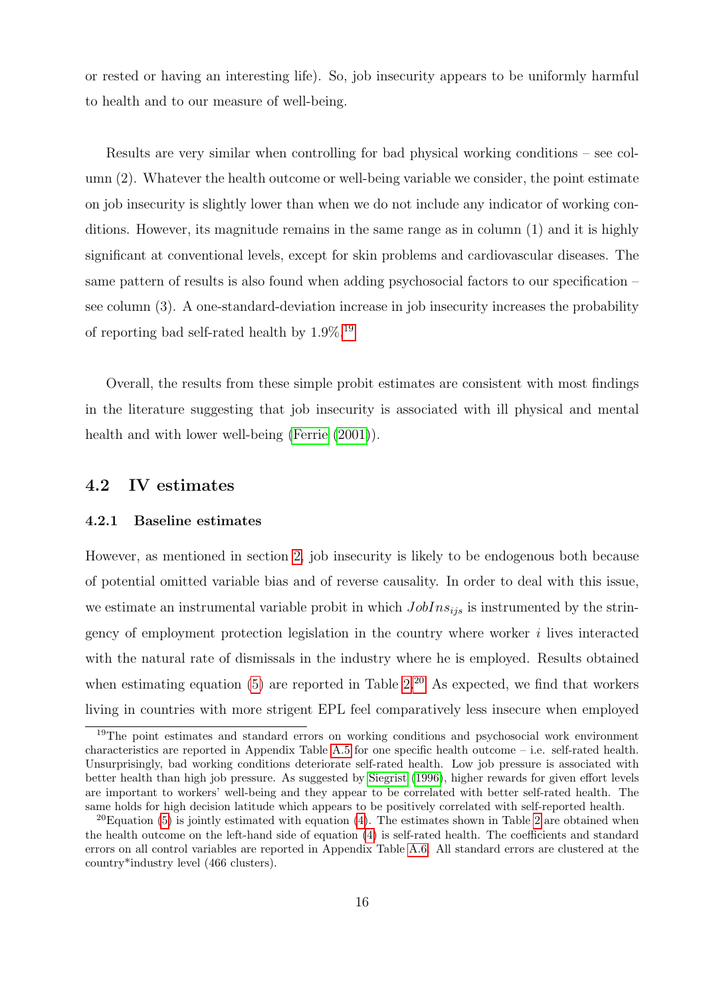or rested or having an interesting life). So, job insecurity appears to be uniformly harmful to health and to our measure of well-being.

Results are very similar when controlling for bad physical working conditions – see column (2). Whatever the health outcome or well-being variable we consider, the point estimate on job insecurity is slightly lower than when we do not include any indicator of working conditions. However, its magnitude remains in the same range as in column (1) and it is highly significant at conventional levels, except for skin problems and cardiovascular diseases. The same pattern of results is also found when adding psychosocial factors to our specification – see column (3). A one-standard-deviation increase in job insecurity increases the probability of reporting bad self-rated health by  $1.9\%$ <sup>[19](#page--1-0)</sup>

Overall, the results from these simple probit estimates are consistent with most findings in the literature suggesting that job insecurity is associated with ill physical and mental health and with lower well-being [\(Ferrie](#page-26-5) [\(2001\)](#page-26-5)).

#### 4.2 IV estimates

#### 4.2.1 Baseline estimates

However, as mentioned in section [2,](#page-7-2) job insecurity is likely to be endogenous both because of potential omitted variable bias and of reverse causality. In order to deal with this issue, we estimate an instrumental variable probit in which  $JobIns_{ijs}$  is instrumented by the stringency of employment protection legislation in the country where worker i lives interacted with the natural rate of dismissals in the industry where he is employed. Results obtained when estimating equation [\(5\)](#page-8-1) are reported in Table  $2^{20}$  $2^{20}$  $2^{20}$  As expected, we find that workers living in countries with more strigent EPL feel comparatively less insecure when employed

<sup>&</sup>lt;sup>19</sup>The point estimates and standard errors on working conditions and psychosocial work environment characteristics are reported in Appendix Table [A.5](#page-38-0) for one specific health outcome – i.e. self-rated health. Unsurprisingly, bad working conditions deteriorate self-rated health. Low job pressure is associated with better health than high job pressure. As suggested by [Siegrist](#page-28-7) [\(1996\)](#page-28-7), higher rewards for given effort levels are important to workers' well-being and they appear to be correlated with better self-rated health. The same holds for high decision latitude which appears to be positively correlated with self-reported health.

 $^{20}$ Equation [\(5\)](#page-8-1) is jointly estimated with equation [\(4\)](#page-8-0). The estimates shown in Table [2](#page-32-0) are obtained when the health outcome on the left-hand side of equation [\(4\)](#page-8-0) is self-rated health. The coefficients and standard errors on all control variables are reported in Appendix Table [A.6.](#page-39-0) All standard errors are clustered at the country\*industry level (466 clusters).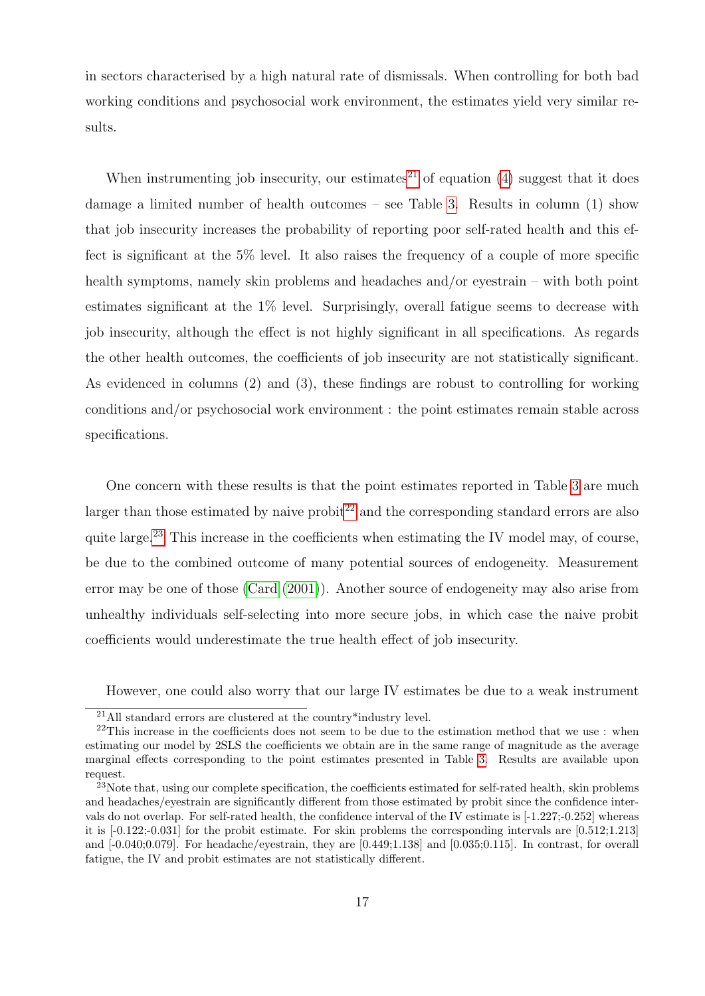in sectors characterised by a high natural rate of dismissals. When controlling for both bad working conditions and psychosocial work environment, the estimates yield very similar results.

When instrumenting job insecurity, our estimates<sup>[21](#page--1-0)</sup> of equation [\(4\)](#page-8-0) suggest that it does damage a limited number of health outcomes – see Table [3.](#page-33-0) Results in column (1) show that job insecurity increases the probability of reporting poor self-rated health and this effect is significant at the 5% level. It also raises the frequency of a couple of more specific health symptoms, namely skin problems and headaches and/or eyestrain – with both point estimates significant at the 1% level. Surprisingly, overall fatigue seems to decrease with job insecurity, although the effect is not highly significant in all specifications. As regards the other health outcomes, the coefficients of job insecurity are not statistically significant. As evidenced in columns (2) and (3), these findings are robust to controlling for working conditions and/or psychosocial work environment : the point estimates remain stable across specifications.

One concern with these results is that the point estimates reported in Table [3](#page-33-0) are much larger than those estimated by naive probit  $2^2$  and the corresponding standard errors are also quite large.<sup>[23](#page--1-0)</sup> This increase in the coefficients when estimating the IV model may, of course, be due to the combined outcome of many potential sources of endogeneity. Measurement error may be one of those [\(Card](#page-25-8) [\(2001\)](#page-25-8)). Another source of endogeneity may also arise from unhealthy individuals self-selecting into more secure jobs, in which case the naive probit coefficients would underestimate the true health effect of job insecurity.

However, one could also worry that our large IV estimates be due to a weak instrument

<sup>21</sup>All standard errors are clustered at the country\*industry level.

 $22$ This increase in the coefficients does not seem to be due to the estimation method that we use : when estimating our model by 2SLS the coefficients we obtain are in the same range of magnitude as the average marginal effects corresponding to the point estimates presented in Table [3.](#page-33-0) Results are available upon request.

<sup>&</sup>lt;sup>23</sup>Note that, using our complete specification, the coefficients estimated for self-rated health, skin problems and headaches/eyestrain are significantly different from those estimated by probit since the confidence intervals do not overlap. For self-rated health, the confidence interval of the IV estimate is [-1.227;-0.252] whereas it is [-0.122;-0.031] for the probit estimate. For skin problems the corresponding intervals are [0.512;1.213] and [-0.040;0.079]. For headache/eyestrain, they are [0.449;1.138] and [0.035;0.115]. In contrast, for overall fatigue, the IV and probit estimates are not statistically different.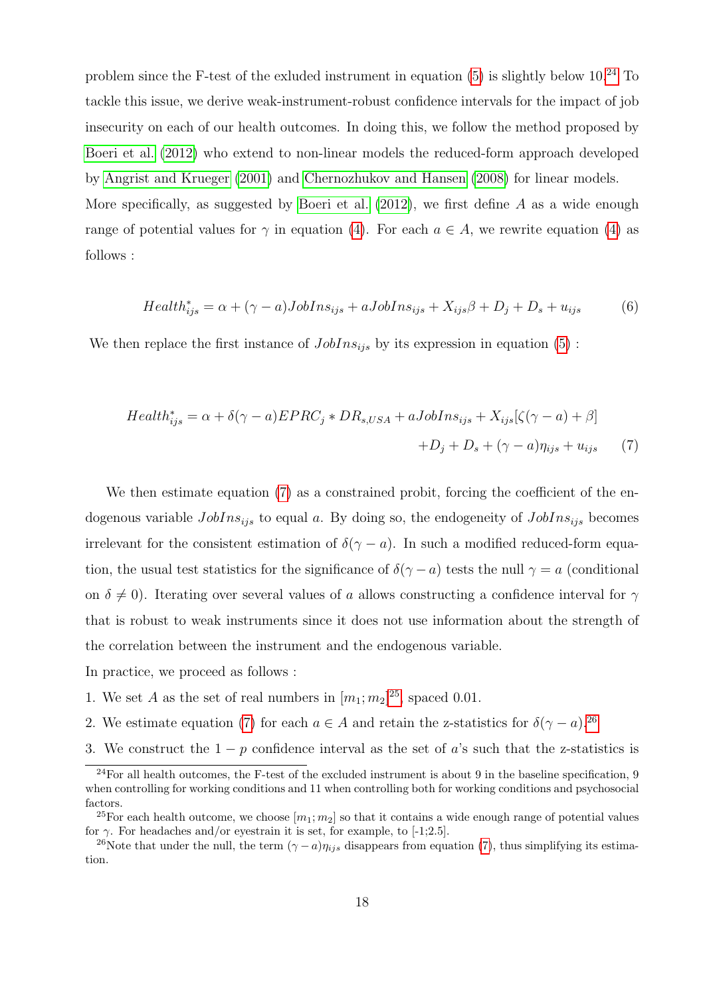problem since the F-test of the exluded instrument in equation  $(5)$  is slightly below 10.<sup>[24](#page--1-0)</sup> To tackle this issue, we derive weak-instrument-robust confidence intervals for the impact of job insecurity on each of our health outcomes. In doing this, we follow the method proposed by [Boeri et al.](#page-25-9) [\(2012\)](#page-25-9) who extend to non-linear models the reduced-form approach developed by [Angrist and Krueger](#page-25-10) [\(2001\)](#page-25-10) and [Chernozhukov and Hansen](#page-26-11) [\(2008\)](#page-26-11) for linear models. More specifically, as suggested by [Boeri et al.](#page-25-9)  $(2012)$ , we first define A as a wide enough

range of potential values for  $\gamma$  in equation [\(4\)](#page-8-0). For each  $a \in A$ , we rewrite equation (4) as follows :

<span id="page-19-0"></span>
$$
Health_{ijs}^{*} = \alpha + (\gamma - a)JobIns_{ijs} + aJobIns_{ijs} + X_{ijs}\beta + D_j + D_s + u_{ijs}
$$
(6)

We then replace the first instance of  $JobIns_{ijs}$  by its expression in equation [\(5\)](#page-8-1):

$$
Health_{ijs}^{*} = \alpha + \delta(\gamma - a) EPRC_{j} * DR_{s,USA} + aJobIns_{ijs} + X_{ijs}[\zeta(\gamma - a) + \beta]
$$

$$
+D_{j} + D_{s} + (\gamma - a)\eta_{ijs} + u_{ijs} \tag{7}
$$

We then estimate equation [\(7\)](#page-19-0) as a constrained probit, forcing the coefficient of the endogenous variable  $JobIns_{ijs}$  to equal a. By doing so, the endogeneity of  $JobIns_{ijs}$  becomes irrelevant for the consistent estimation of  $\delta(\gamma - a)$ . In such a modified reduced-form equation, the usual test statistics for the significance of  $\delta(\gamma - a)$  tests the null  $\gamma = a$  (conditional on  $\delta \neq 0$ ). Iterating over several values of a allows constructing a confidence interval for  $\gamma$ that is robust to weak instruments since it does not use information about the strength of the correlation between the instrument and the endogenous variable.

In practice, we proceed as follows :

- 1. We set A as the set of real numbers in  $[m_1; m_2]^{25}$  $[m_1; m_2]^{25}$  $[m_1; m_2]^{25}$ , spaced 0.01.
- 2. We estimate equation [\(7\)](#page-19-0) for each  $a \in A$  and retain the z-statistics for  $\delta(\gamma a)$ .<sup>[26](#page--1-0)</sup>
- 3. We construct the  $1 p$  confidence interval as the set of a's such that the z-statistics is

 $^{24}$ For all health outcomes, the F-test of the excluded instrument is about 9 in the baseline specification, 9 when controlling for working conditions and 11 when controlling both for working conditions and psychosocial factors.

<sup>&</sup>lt;sup>25</sup>For each health outcome, we choose  $[m_1; m_2]$  so that it contains a wide enough range of potential values for  $\gamma$ . For headaches and/or eyestrain it is set, for example, to [-1;2.5].

<sup>&</sup>lt;sup>26</sup>Note that under the null, the term  $(\gamma - a)\eta_{ijs}$  disappears from equation [\(7\)](#page-19-0), thus simplifying its estimation.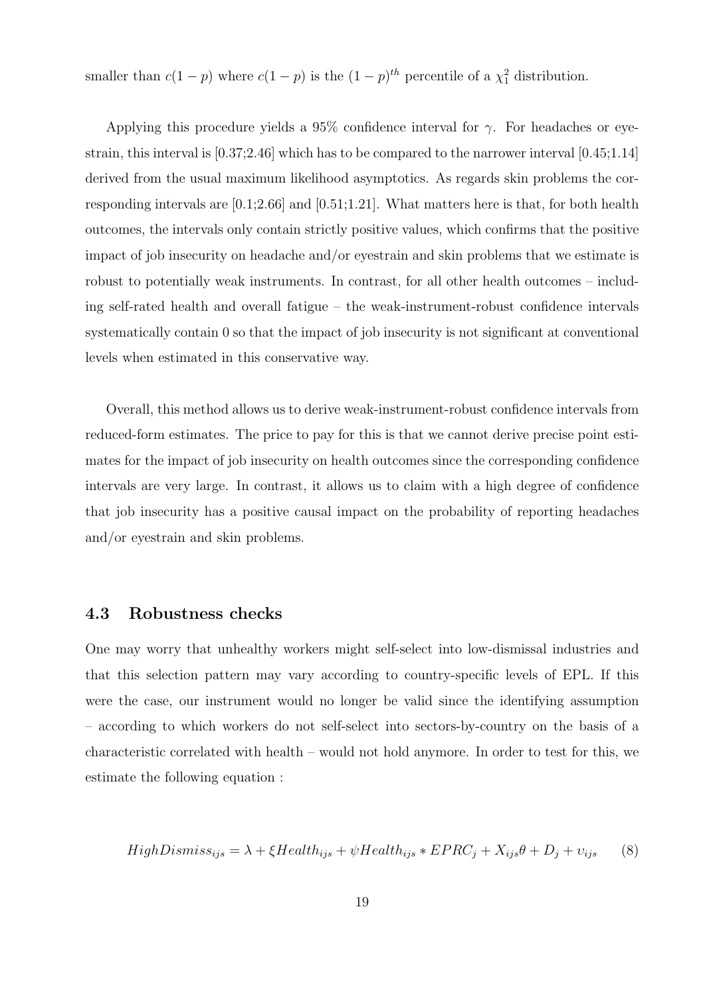smaller than  $c(1-p)$  where  $c(1-p)$  is the  $(1-p)^{th}$  percentile of a  $\chi^2$  distribution.

Applying this procedure yields a 95% confidence interval for  $\gamma$ . For headaches or eyestrain, this interval is [0.37;2.46] which has to be compared to the narrower interval [0.45;1.14] derived from the usual maximum likelihood asymptotics. As regards skin problems the corresponding intervals are  $[0.1;2.66]$  and  $[0.51;1.21]$ . What matters here is that, for both health outcomes, the intervals only contain strictly positive values, which confirms that the positive impact of job insecurity on headache and/or eyestrain and skin problems that we estimate is robust to potentially weak instruments. In contrast, for all other health outcomes – including self-rated health and overall fatigue – the weak-instrument-robust confidence intervals systematically contain 0 so that the impact of job insecurity is not significant at conventional levels when estimated in this conservative way.

Overall, this method allows us to derive weak-instrument-robust confidence intervals from reduced-form estimates. The price to pay for this is that we cannot derive precise point estimates for the impact of job insecurity on health outcomes since the corresponding confidence intervals are very large. In contrast, it allows us to claim with a high degree of confidence that job insecurity has a positive causal impact on the probability of reporting headaches and/or eyestrain and skin problems.

#### <span id="page-20-0"></span>4.3 Robustness checks

One may worry that unhealthy workers might self-select into low-dismissal industries and that this selection pattern may vary according to country-specific levels of EPL. If this were the case, our instrument would no longer be valid since the identifying assumption – according to which workers do not self-select into sectors-by-country on the basis of a characteristic correlated with health – would not hold anymore. In order to test for this, we estimate the following equation :

$$
HighDismiss_{ijs} = \lambda + \xi Health_{ijs} + \psi Health_{ijs} * EPRC_j + X_{ijs}\theta + D_j + v_{ijs} \tag{8}
$$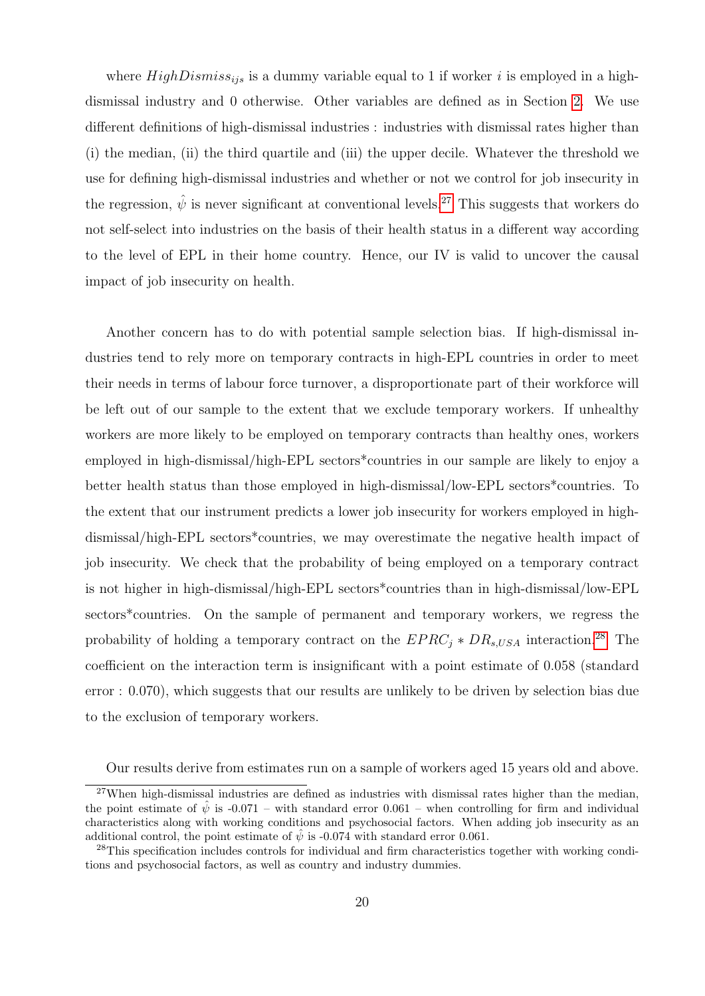where  $HighDismiss_{ijs}$  is a dummy variable equal to 1 if worker i is employed in a highdismissal industry and 0 otherwise. Other variables are defined as in Section [2.](#page-7-2) We use different definitions of high-dismissal industries : industries with dismissal rates higher than (i) the median, (ii) the third quartile and (iii) the upper decile. Whatever the threshold we use for defining high-dismissal industries and whether or not we control for job insecurity in the regression,  $\hat{\psi}$  is never significant at conventional levels.<sup>[27](#page--1-0)</sup> This suggests that workers do not self-select into industries on the basis of their health status in a different way according to the level of EPL in their home country. Hence, our IV is valid to uncover the causal impact of job insecurity on health.

Another concern has to do with potential sample selection bias. If high-dismissal industries tend to rely more on temporary contracts in high-EPL countries in order to meet their needs in terms of labour force turnover, a disproportionate part of their workforce will be left out of our sample to the extent that we exclude temporary workers. If unhealthy workers are more likely to be employed on temporary contracts than healthy ones, workers employed in high-dismissal/high-EPL sectors\*countries in our sample are likely to enjoy a better health status than those employed in high-dismissal/low-EPL sectors\*countries. To the extent that our instrument predicts a lower job insecurity for workers employed in highdismissal/high-EPL sectors\*countries, we may overestimate the negative health impact of job insecurity. We check that the probability of being employed on a temporary contract is not higher in high-dismissal/high-EPL sectors\*countries than in high-dismissal/low-EPL sectors\*countries. On the sample of permanent and temporary workers, we regress the probability of holding a temporary contract on the  $EPRC_i * DR_{s,USA}$  interaction.<sup>[28](#page--1-0)</sup> The coefficient on the interaction term is insignificant with a point estimate of 0.058 (standard error : 0.070), which suggests that our results are unlikely to be driven by selection bias due to the exclusion of temporary workers.

Our results derive from estimates run on a sample of workers aged 15 years old and above.

 $27$ When high-dismissal industries are defined as industries with dismissal rates higher than the median, the point estimate of  $\hat{\psi}$  is -0.071 – with standard error 0.061 – when controlling for firm and individual characteristics along with working conditions and psychosocial factors. When adding job insecurity as an additional control, the point estimate of  $\hat{\psi}$  is -0.074 with standard error 0.061.

<sup>28</sup>This specification includes controls for individual and firm characteristics together with working conditions and psychosocial factors, as well as country and industry dummies.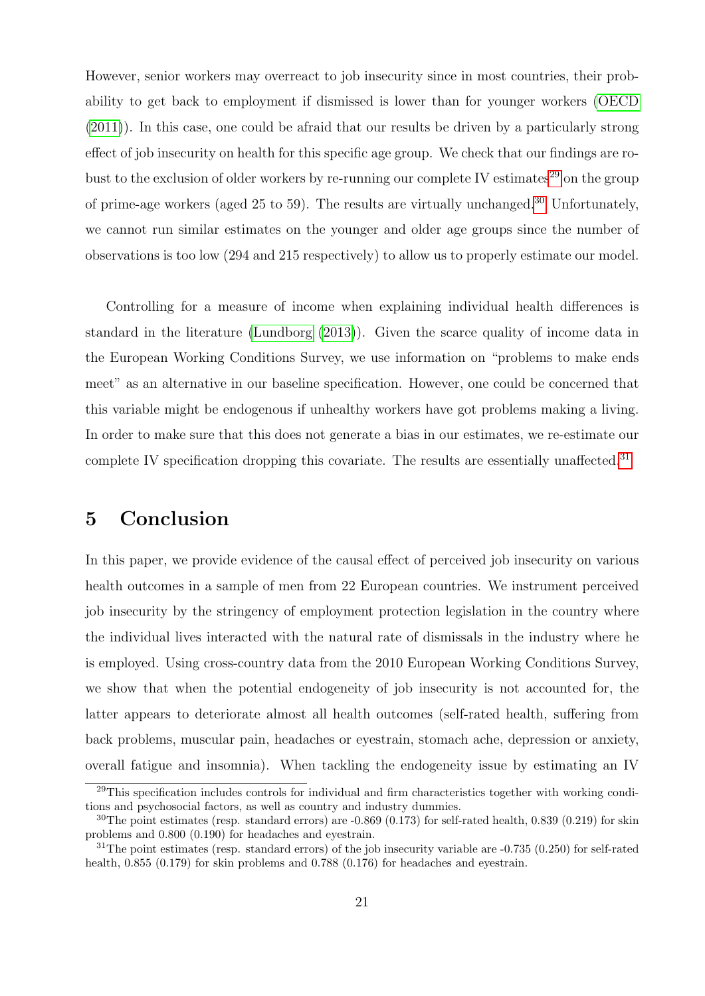However, senior workers may overreact to job insecurity since in most countries, their probability to get back to employment if dismissed is lower than for younger workers [\(OECD](#page-28-10) [\(2011\)](#page-28-10)). In this case, one could be afraid that our results be driven by a particularly strong effect of job insecurity on health for this specific age group. We check that our findings are ro-bust to the exclusion of older workers by re-running our complete IV estimates<sup>[29](#page--1-0)</sup> on the group of prime-age workers (aged 25 to 59). The results are virtually unchanged.<sup>[30](#page--1-0)</sup> Unfortunately, we cannot run similar estimates on the younger and older age groups since the number of observations is too low (294 and 215 respectively) to allow us to properly estimate our model.

Controlling for a measure of income when explaining individual health differences is standard in the literature [\(Lundborg](#page-28-11) [\(2013\)](#page-28-11)). Given the scarce quality of income data in the European Working Conditions Survey, we use information on "problems to make ends meet" as an alternative in our baseline specification. However, one could be concerned that this variable might be endogenous if unhealthy workers have got problems making a living. In order to make sure that this does not generate a bias in our estimates, we re-estimate our complete IV specification dropping this covariate. The results are essentially unaffected.<sup>[31](#page--1-0)</sup>

# 5 Conclusion

In this paper, we provide evidence of the causal effect of perceived job insecurity on various health outcomes in a sample of men from 22 European countries. We instrument perceived job insecurity by the stringency of employment protection legislation in the country where the individual lives interacted with the natural rate of dismissals in the industry where he is employed. Using cross-country data from the 2010 European Working Conditions Survey, we show that when the potential endogeneity of job insecurity is not accounted for, the latter appears to deteriorate almost all health outcomes (self-rated health, suffering from back problems, muscular pain, headaches or eyestrain, stomach ache, depression or anxiety, overall fatigue and insomnia). When tackling the endogeneity issue by estimating an IV

<sup>&</sup>lt;sup>29</sup>This specification includes controls for individual and firm characteristics together with working conditions and psychosocial factors, as well as country and industry dummies.

 $30$ The point estimates (resp. standard errors) are  $-0.869$  (0.173) for self-rated health, 0.839 (0.219) for skin problems and 0.800 (0.190) for headaches and eyestrain.

<sup>&</sup>lt;sup>31</sup>The point estimates (resp. standard errors) of the job insecurity variable are  $-0.735$  (0.250) for self-rated health, 0.855 (0.179) for skin problems and 0.788 (0.176) for headaches and evestrain.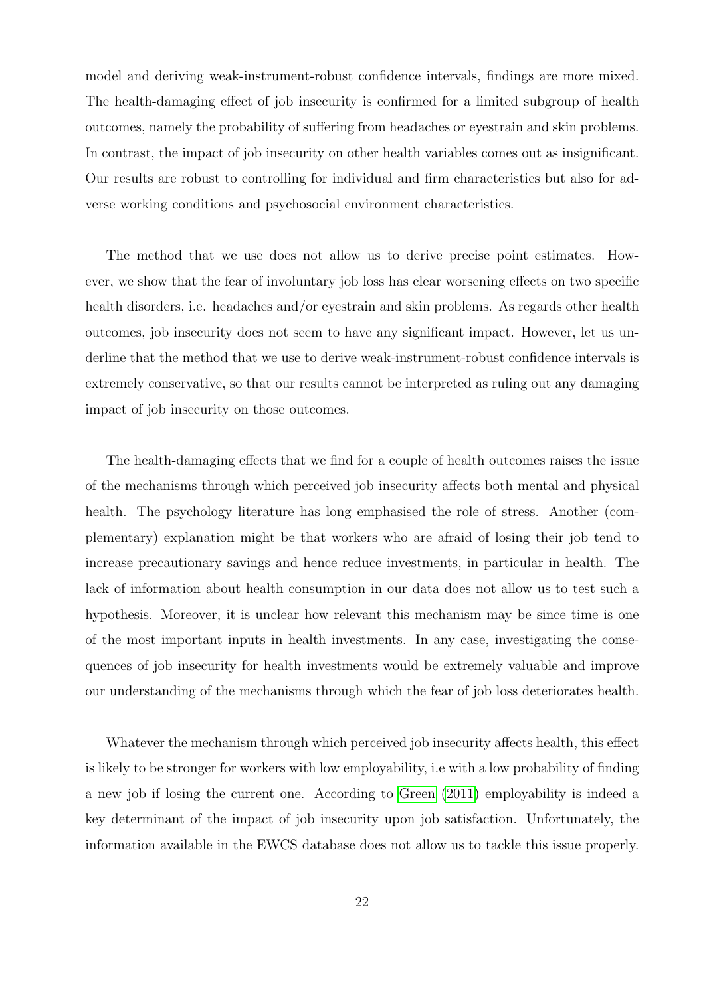model and deriving weak-instrument-robust confidence intervals, findings are more mixed. The health-damaging effect of job insecurity is confirmed for a limited subgroup of health outcomes, namely the probability of suffering from headaches or eyestrain and skin problems. In contrast, the impact of job insecurity on other health variables comes out as insignificant. Our results are robust to controlling for individual and firm characteristics but also for adverse working conditions and psychosocial environment characteristics.

The method that we use does not allow us to derive precise point estimates. However, we show that the fear of involuntary job loss has clear worsening effects on two specific health disorders, i.e. headaches and/or eyestrain and skin problems. As regards other health outcomes, job insecurity does not seem to have any significant impact. However, let us underline that the method that we use to derive weak-instrument-robust confidence intervals is extremely conservative, so that our results cannot be interpreted as ruling out any damaging impact of job insecurity on those outcomes.

The health-damaging effects that we find for a couple of health outcomes raises the issue of the mechanisms through which perceived job insecurity affects both mental and physical health. The psychology literature has long emphasised the role of stress. Another (complementary) explanation might be that workers who are afraid of losing their job tend to increase precautionary savings and hence reduce investments, in particular in health. The lack of information about health consumption in our data does not allow us to test such a hypothesis. Moreover, it is unclear how relevant this mechanism may be since time is one of the most important inputs in health investments. In any case, investigating the consequences of job insecurity for health investments would be extremely valuable and improve our understanding of the mechanisms through which the fear of job loss deteriorates health.

Whatever the mechanism through which perceived job insecurity affects health, this effect is likely to be stronger for workers with low employability, i.e with a low probability of finding a new job if losing the current one. According to [Green](#page-27-3) [\(2011\)](#page-27-3) employability is indeed a key determinant of the impact of job insecurity upon job satisfaction. Unfortunately, the information available in the EWCS database does not allow us to tackle this issue properly.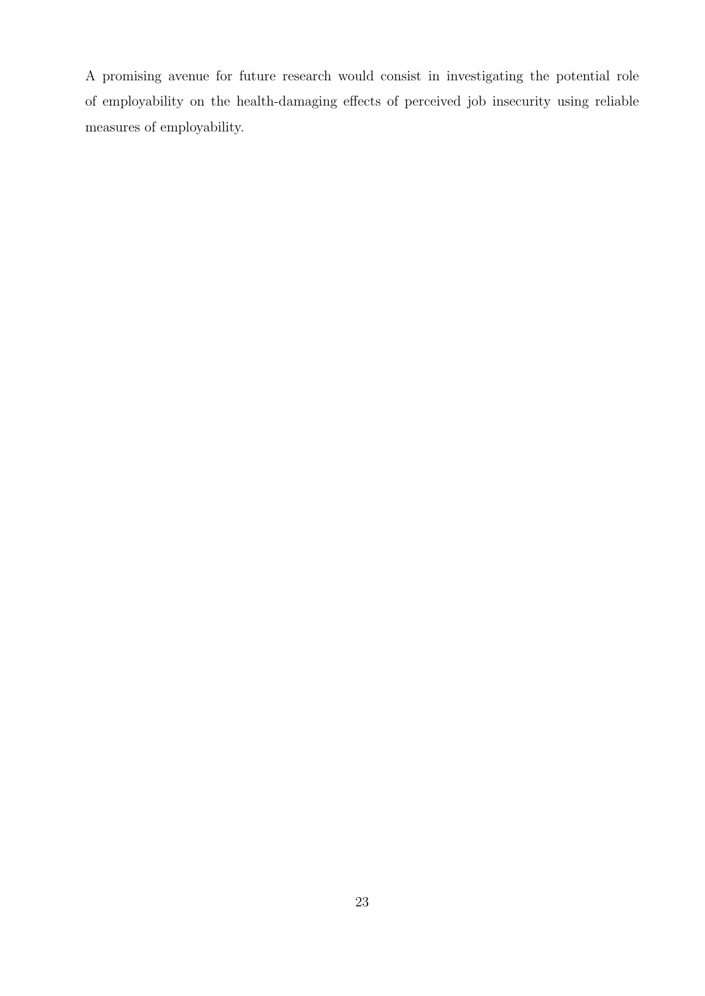A promising avenue for future research would consist in investigating the potential role of employability on the health-damaging effects of perceived job insecurity using reliable measures of employability.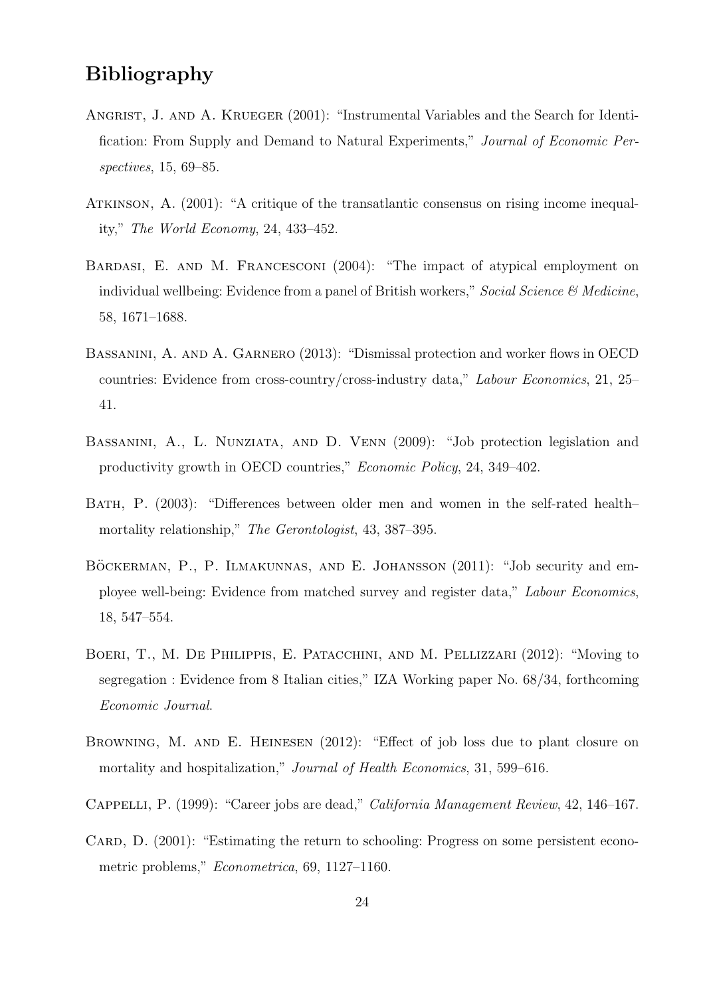## Bibliography

- <span id="page-25-10"></span>ANGRIST, J. AND A. KRUEGER (2001): "Instrumental Variables and the Search for Identification: From Supply and Demand to Natural Experiments," Journal of Economic Perspectives, 15, 69–85.
- <span id="page-25-1"></span>ATKINSON, A. (2001): "A critique of the transatlantic consensus on rising income inequality," The World Economy, 24, 433–452.
- <span id="page-25-3"></span>BARDASI, E. AND M. FRANCESCONI (2004): "The impact of atypical employment on individual wellbeing: Evidence from a panel of British workers," Social Science  $\mathcal{C}$  Medicine, 58, 1671–1688.
- <span id="page-25-7"></span>Bassanini, A. and A. Garnero (2013): "Dismissal protection and worker flows in OECD countries: Evidence from cross-country/cross-industry data," Labour Economics, 21, 25– 41.
- <span id="page-25-5"></span>Bassanini, A., L. Nunziata, and D. Venn (2009): "Job protection legislation and productivity growth in OECD countries," Economic Policy, 24, 349–402.
- <span id="page-25-6"></span>Bath, P. (2003): "Differences between older men and women in the self-rated health– mortality relationship," The Gerontologist, 43, 387–395.
- <span id="page-25-2"></span>BÖCKERMAN, P., P. ILMAKUNNAS, AND E. JOHANSSON  $(2011)$ : "Job security and employee well-being: Evidence from matched survey and register data," Labour Economics, 18, 547–554.
- <span id="page-25-9"></span>Boeri, T., M. De Philippis, E. Patacchini, and M. Pellizzari (2012): "Moving to segregation : Evidence from 8 Italian cities," IZA Working paper No. 68/34, forthcoming Economic Journal.
- <span id="page-25-4"></span>Browning, M. and E. Heinesen (2012): "Effect of job loss due to plant closure on mortality and hospitalization," *Journal of Health Economics*, 31, 599–616.
- <span id="page-25-0"></span>Cappelli, P. (1999): "Career jobs are dead," California Management Review, 42, 146–167.
- <span id="page-25-8"></span>CARD, D.  $(2001)$ : "Estimating the return to schooling: Progress on some persistent econometric problems," Econometrica, 69, 1127–1160.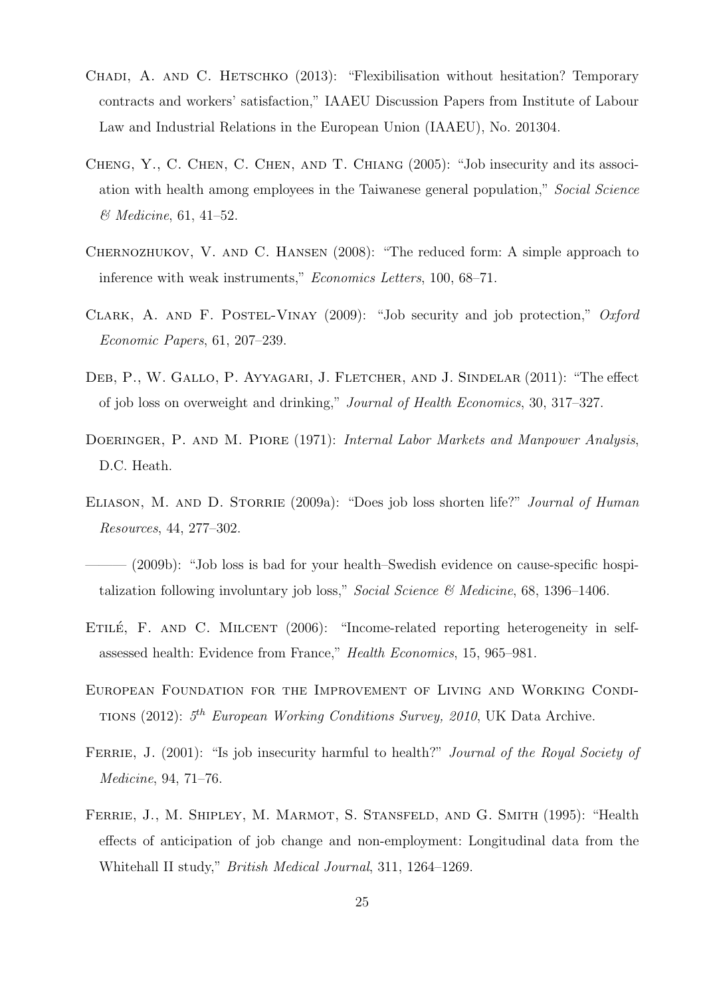- <span id="page-26-1"></span>CHADI, A. AND C. HETSCHKO (2013): "Flexibilisation without hesitation? Temporary contracts and workers' satisfaction," IAAEU Discussion Papers from Institute of Labour Law and Industrial Relations in the European Union (IAAEU), No. 201304.
- <span id="page-26-6"></span>Cheng, Y., C. Chen, C. Chen, and T. Chiang (2005): "Job insecurity and its association with health among employees in the Taiwanese general population," Social Science & Medicine, 61, 41–52.
- <span id="page-26-11"></span>Chernozhukov, V. and C. Hansen (2008): "The reduced form: A simple approach to inference with weak instruments," Economics Letters, 100, 68–71.
- <span id="page-26-9"></span>CLARK, A. AND F. POSTEL-VINAY (2009): "Job security and job protection,"  $Oxford$ Economic Papers, 61, 207–239.
- <span id="page-26-4"></span>DEB, P., W. GALLO, P. AYYAGARI, J. FLETCHER, AND J. SINDELAR (2011): "The effect of job loss on overweight and drinking," Journal of Health Economics, 30, 317–327.
- <span id="page-26-0"></span>DOERINGER, P. AND M. PIORE (1971): *Internal Labor Markets and Manpower Analysis*, D.C. Heath.
- <span id="page-26-3"></span>ELIASON, M. AND D. STORRIE (2009a): "Does job loss shorten life?" Journal of Human Resources, 44, 277–302.
- <span id="page-26-2"></span> $-$  (2009b): "Job loss is bad for your health–Swedish evidence on cause-specific hospitalization following involuntary job loss," Social Science  $\mathcal{B}$  Medicine, 68, 1396–1406.
- <span id="page-26-10"></span>ETILÉ, F. AND C. MILCENT  $(2006)$ : "Income-related reporting heterogeneity in selfassessed health: Evidence from France," Health Economics, 15, 965–981.
- <span id="page-26-7"></span>European Foundation for the Improvement of Living and Working Condi-TIONS (2012):  $5^{th}$  European Working Conditions Survey, 2010, UK Data Archive.
- <span id="page-26-5"></span>FERRIE, J. (2001): "Is job insecurity harmful to health?" *Journal of the Royal Society of* Medicine, 94, 71–76.
- <span id="page-26-8"></span>FERRIE, J., M. SHIPLEY, M. MARMOT, S. STANSFELD, AND G. SMITH (1995): "Health effects of anticipation of job change and non-employment: Longitudinal data from the Whitehall II study," British Medical Journal, 311, 1264–1269.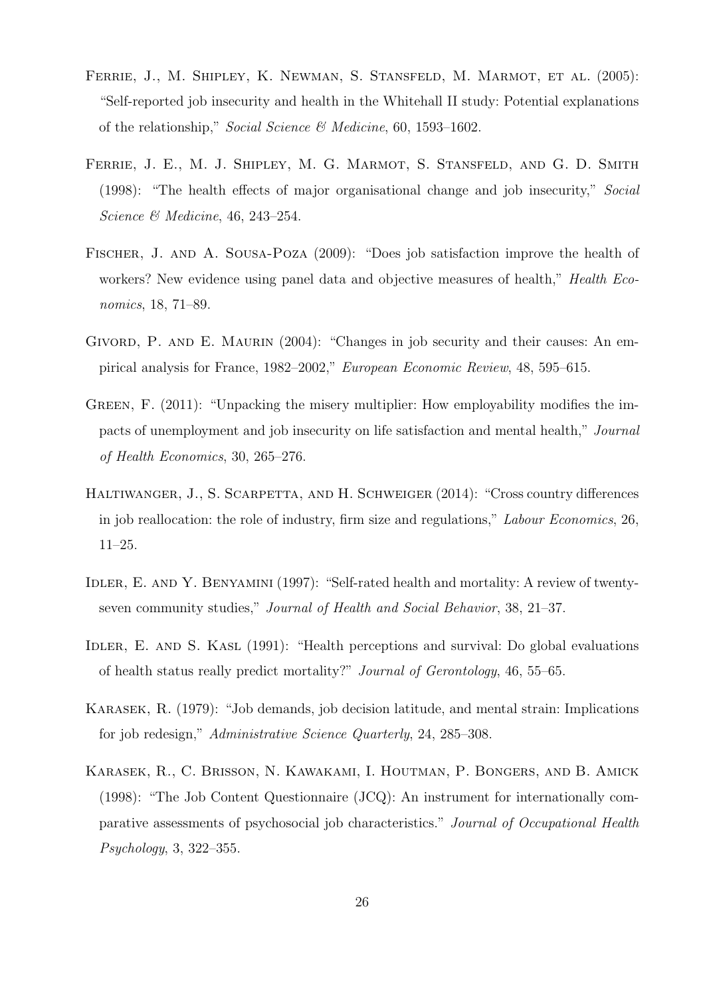- <span id="page-27-2"></span>Ferrie, J., M. Shipley, K. Newman, S. Stansfeld, M. Marmot, et al. (2005): "Self-reported job insecurity and health in the Whitehall II study: Potential explanations of the relationship," Social Science  $\mathcal{B}$  Medicine, 60, 1593–1602.
- <span id="page-27-4"></span>FERRIE, J. E., M. J. SHIPLEY, M. G. MARMOT, S. STANSFELD, AND G. D. SMITH (1998): "The health effects of major organisational change and job insecurity," Social Science & Medicine, 46, 243–254.
- <span id="page-27-1"></span>Fischer, J. and A. Sousa-Poza (2009): "Does job satisfaction improve the health of workers? New evidence using panel data and objective measures of health," *Health Eco*nomics, 18, 71–89.
- <span id="page-27-0"></span>GIVORD, P. AND E. MAURIN (2004): "Changes in job security and their causes: An empirical analysis for France, 1982–2002," European Economic Review, 48, 595–615.
- <span id="page-27-3"></span>GREEN, F. (2011): "Unpacking the misery multiplier: How employability modifies the impacts of unemployment and job insecurity on life satisfaction and mental health," Journal of Health Economics, 30, 265–276.
- <span id="page-27-6"></span>HALTIWANGER, J., S. SCARPETTA, AND H. SCHWEIGER (2014): "Cross country differences in job reallocation: the role of industry, firm size and regulations," Labour Economics, 26, 11–25.
- <span id="page-27-8"></span>IDLER, E. AND Y. BENYAMINI (1997): "Self-rated health and mortality: A review of twentyseven community studies," Journal of Health and Social Behavior, 38, 21–37.
- <span id="page-27-7"></span>IDLER, E. AND S. KASL (1991): "Health perceptions and survival: Do global evaluations of health status really predict mortality?" Journal of Gerontology, 46, 55–65.
- <span id="page-27-5"></span>Karasek, R. (1979): "Job demands, job decision latitude, and mental strain: Implications for job redesign," Administrative Science Quarterly, 24, 285–308.
- <span id="page-27-9"></span>Karasek, R., C. Brisson, N. Kawakami, I. Houtman, P. Bongers, and B. Amick (1998): "The Job Content Questionnaire (JCQ): An instrument for internationally comparative assessments of psychosocial job characteristics." Journal of Occupational Health Psychology, 3, 322–355.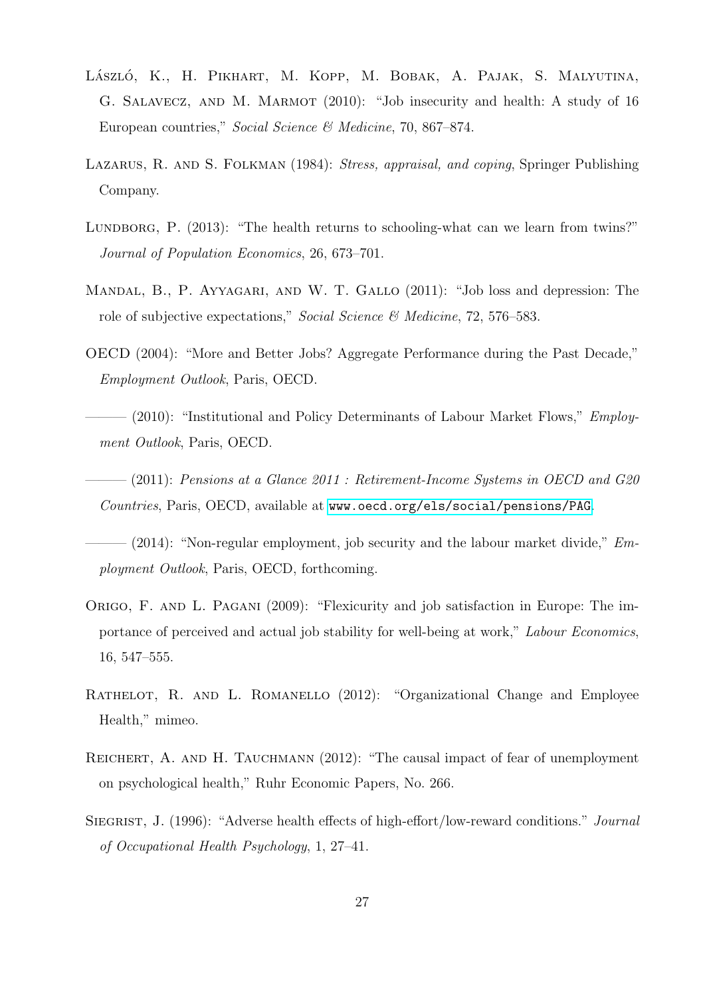- <span id="page-28-3"></span>László, K., H. Pikhart, M. Kopp, M. Bobak, A. Pajak, S. Malyutina, G. Salavecz, and M. Marmot (2010): "Job insecurity and health: A study of 16 European countries," Social Science & Medicine, 70, 867–874.
- <span id="page-28-2"></span>LAZARUS, R. AND S. FOLKMAN (1984): *Stress, appraisal, and coping*, Springer Publishing Company.
- <span id="page-28-11"></span>LUNDBORG, P. (2013): "The health returns to schooling-what can we learn from twins?" Journal of Population Economics, 26, 673–701.
- <span id="page-28-4"></span>Mandal, B., P. Ayyagari, and W. T. Gallo (2011): "Job loss and depression: The role of subjective expectations," Social Science & Medicine, 72, 576–583.
- <span id="page-28-0"></span>OECD (2004): "More and Better Jobs? Aggregate Performance during the Past Decade," Employment Outlook, Paris, OECD.
- <span id="page-28-9"></span> $-$  (2010): "Institutional and Policy Determinants of Labour Market Flows," *Employ*ment Outlook, Paris, OECD.
- <span id="page-28-10"></span> $-(2011)$ : Pensions at a Glance 2011 : Retirement-Income Systems in OECD and G20 Countries, Paris, OECD, available at <www.oecd.org/els/social/pensions/PAG>.
- <span id="page-28-8"></span> $-$  (2014): "Non-regular employment, job security and the labour market divide,"  $Em$ ployment Outlook, Paris, OECD, forthcoming.
- <span id="page-28-1"></span>Origo, F. and L. Pagani (2009): "Flexicurity and job satisfaction in Europe: The importance of perceived and actual job stability for well-being at work," Labour Economics, 16, 547–555.
- <span id="page-28-6"></span>RATHELOT, R. AND L. ROMANELLO (2012): "Organizational Change and Employee Health," mimeo.
- <span id="page-28-5"></span>REICHERT, A. AND H. TAUCHMANN (2012): "The causal impact of fear of unemployment on psychological health," Ruhr Economic Papers, No. 266.
- <span id="page-28-7"></span>SIEGRIST, J. (1996): "Adverse health effects of high-effort/low-reward conditions." Journal of Occupational Health Psychology, 1, 27–41.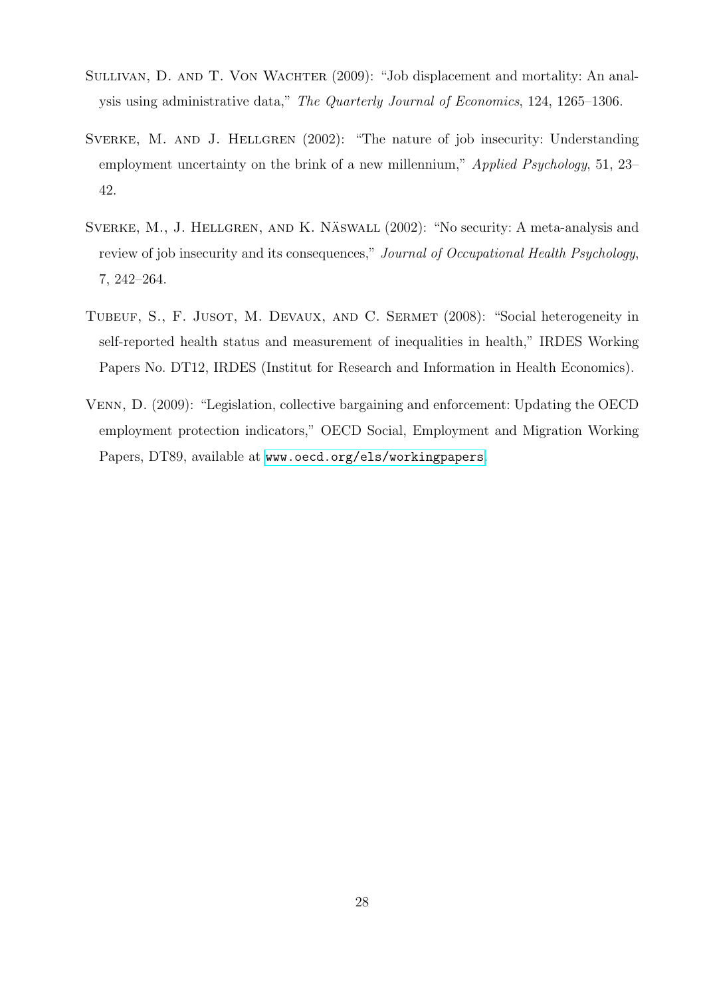- <span id="page-29-0"></span>SULLIVAN, D. AND T. VON WACHTER (2009): "Job displacement and mortality: An analysis using administrative data," The Quarterly Journal of Economics, 124, 1265–1306.
- <span id="page-29-1"></span>SVERKE, M. AND J. HELLGREN (2002): "The nature of job insecurity: Understanding employment uncertainty on the brink of a new millennium," Applied Psychology, 51, 23– 42.
- <span id="page-29-2"></span>SVERKE, M., J. HELLGREN, AND K. NÄSWALL (2002): "No security: A meta-analysis and review of job insecurity and its consequences," Journal of Occupational Health Psychology, 7, 242–264.
- <span id="page-29-4"></span>TUBEUF, S., F. JUSOT, M. DEVAUX, AND C. SERMET (2008): "Social heterogeneity in self-reported health status and measurement of inequalities in health," IRDES Working Papers No. DT12, IRDES (Institut for Research and Information in Health Economics).
- <span id="page-29-3"></span>Venn, D. (2009): "Legislation, collective bargaining and enforcement: Updating the OECD employment protection indicators," OECD Social, Employment and Migration Working Papers, DT89, available at <www.oecd.org/els/workingpapers>.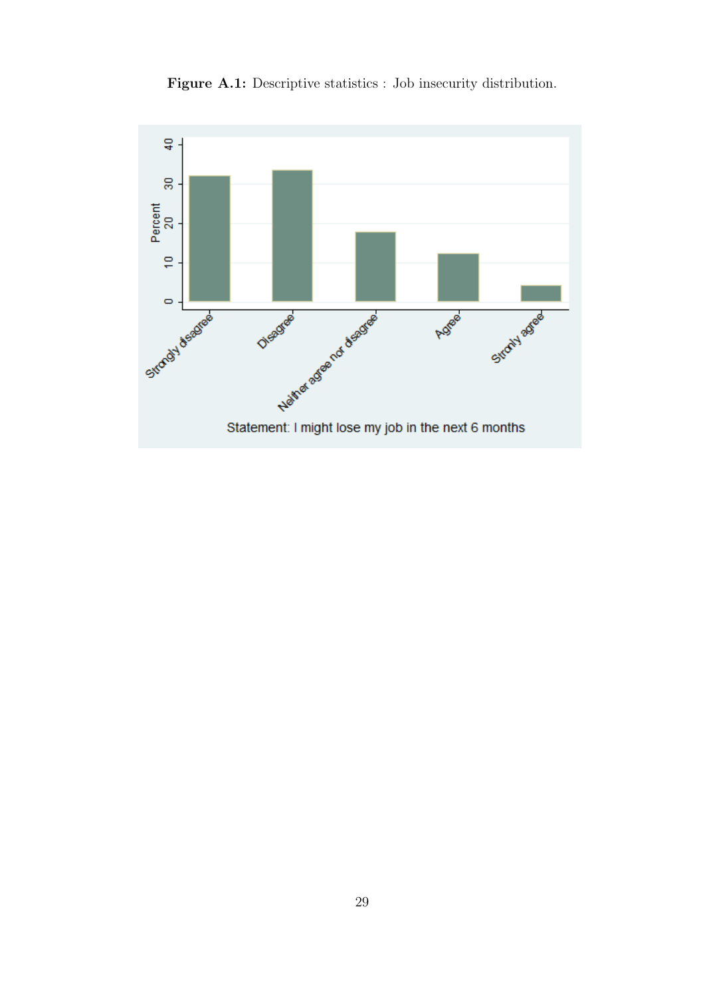<span id="page-30-0"></span>

Figure A.1: Descriptive statistics : Job insecurity distribution.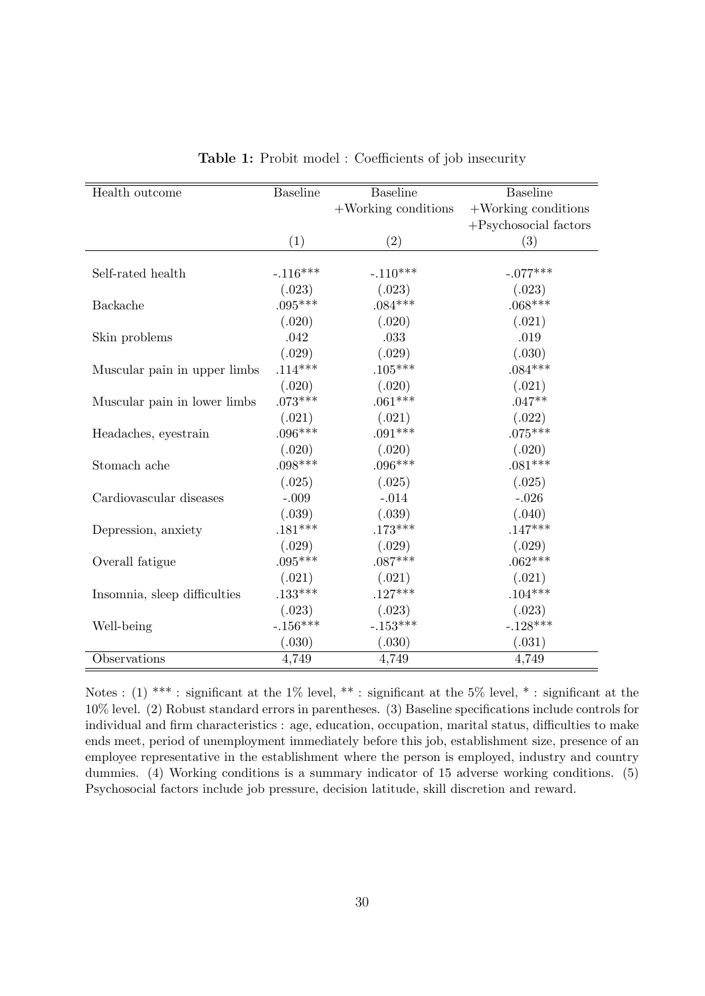<span id="page-31-0"></span>

| Health outcome               | <b>Baseline</b> | <b>Baseline</b>        | <b>Baseline</b>          |
|------------------------------|-----------------|------------------------|--------------------------|
|                              |                 | $+$ Working conditions | $+$ Working conditions   |
|                              |                 |                        | $+$ Psychosocial factors |
|                              | (1)             | (2)                    | (3)                      |
|                              |                 |                        |                          |
| Self-rated health            | $-.116***$      | $-.110***$             | $-.077***$               |
|                              | (.023)          | (.023)                 | (.023)                   |
| Backache                     | $.095***$       | $.084***$              | $.068***$                |
|                              | (.020)          | (.020)                 | (.021)                   |
| Skin problems                | .042            | .033                   | .019                     |
|                              | (.029)          | (.029)                 | (.030)                   |
| Muscular pain in upper limbs | $.114***$       | $.105***$              | $.084***$                |
|                              | (.020)          | (.020)                 | (.021)                   |
| Muscular pain in lower limbs | $.073***$       | $.061***$              | $.047**$                 |
|                              | (.021)          | (.021)                 | (.022)                   |
| Headaches, eyestrain         | $.096***$       | $.091***$              | $.075***$                |
|                              | (.020)          | (.020)                 | (.020)                   |
| Stomach ache                 | $.098***$       | $.096***$              | $.081***$                |
|                              | (.025)          | (.025)                 | (.025)                   |
| Cardiovascular diseases      | $-.009$         | $-.014$                | $-.026$                  |
|                              | (.039)          | (.039)                 | (.040)                   |
| Depression, anxiety          | $.181***$       | $.173***$              | $.147***$                |
|                              | (.029)          | (.029)                 | (.029)                   |
| Overall fatigue              | $.095***$       | $.087***$              | $.062***$                |
|                              | (.021)          | (.021)                 | (.021)                   |
| Insomnia, sleep difficulties | $.133***$       | $.127***$              | $.104***$                |
|                              | (.023)          | (.023)                 | (.023)                   |
| Well-being                   | $-.156***$      | $-.153***$             | $-.128***$               |
|                              | (.030)          | (.030)                 | (.031)                   |
| Observations                 | 4,749           | 4,749                  | 4,749                    |

Table 1: Probit model : Coefficients of job insecurity

Notes : (1) \*\*\* : significant at the 1% level, \*\* : significant at the 5% level, \* : significant at the 10% level. (2) Robust standard errors in parentheses. (3) Baseline specifications include controls for individual and firm characteristics : age, education, occupation, marital status, difficulties to make ends meet, period of unemployment immediately before this job, establishment size, presence of an employee representative in the establishment where the person is employed, industry and country dummies. (4) Working conditions is a summary indicator of 15 adverse working conditions. (5) Psychosocial factors include job pressure, decision latitude, skill discretion and reward.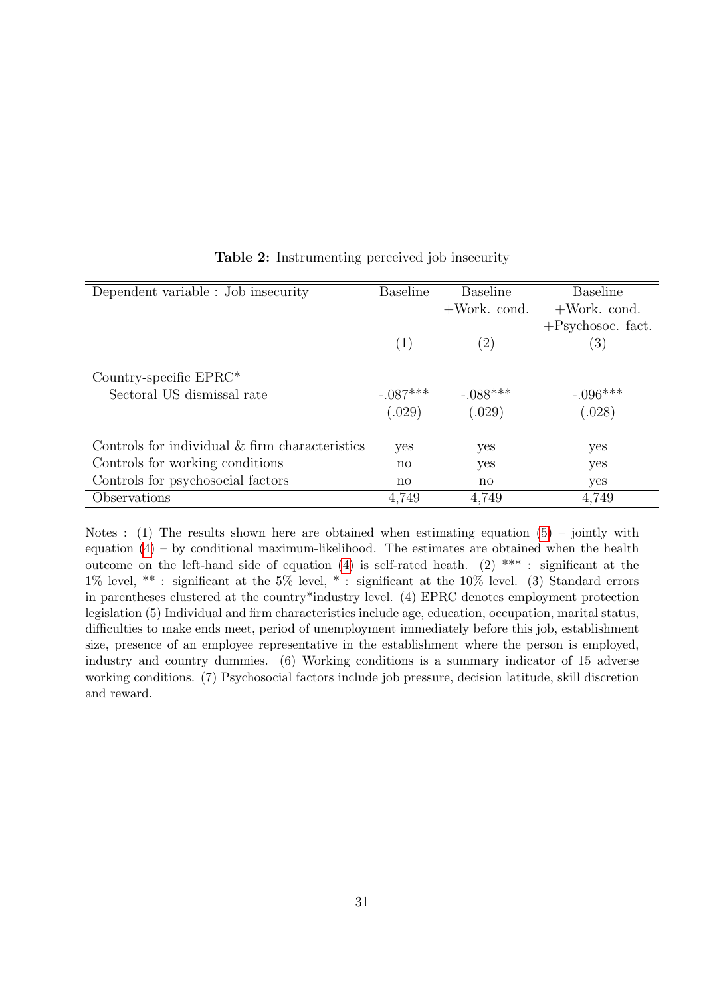<span id="page-32-0"></span>

| Dependent variable : Job insecurity                  | <b>Baseline</b>        | Baseline               | <b>Baseline</b>      |
|------------------------------------------------------|------------------------|------------------------|----------------------|
|                                                      |                        | $+$ Work. cond.        | $+$ Work. cond.      |
|                                                      |                        |                        | $+$ Psychosoc. fact. |
|                                                      | $\left( 1\right)$      | $\left( 2\right)$      | $\left( 3\right)$    |
| Country-specific EPRC*<br>Sectoral US dismissal rate | $-.087***$<br>(.029)   | $-.088***$<br>(.029)   | $-.096***$<br>(.028) |
| Controls for individual & firm characteristics       | yes                    | yes                    | yes                  |
| Controls for working conditions                      | $\mathbf{n}\mathbf{o}$ | yes                    | yes                  |
| Controls for psychosocial factors                    | $\mathbf{n}\mathbf{o}$ | $\mathbf{n}\mathbf{o}$ | yes                  |
| Observations                                         | 4.749                  | 4,749                  | 4,749                |

#### Table 2: Instrumenting perceived job insecurity

Notes : (1) The results shown here are obtained when estimating equation  $(5)$  – jointly with equation  $(4)$  – by conditional maximum-likelihood. The estimates are obtained when the health outcome on the left-hand side of equation [\(4\)](#page-8-0) is self-rated heath. (2) \*\*\* : significant at the 1% level, \*\* : significant at the 5% level, \* : significant at the 10% level. (3) Standard errors in parentheses clustered at the country\*industry level. (4) EPRC denotes employment protection legislation (5) Individual and firm characteristics include age, education, occupation, marital status, difficulties to make ends meet, period of unemployment immediately before this job, establishment size, presence of an employee representative in the establishment where the person is employed, industry and country dummies. (6) Working conditions is a summary indicator of 15 adverse working conditions. (7) Psychosocial factors include job pressure, decision latitude, skill discretion and reward.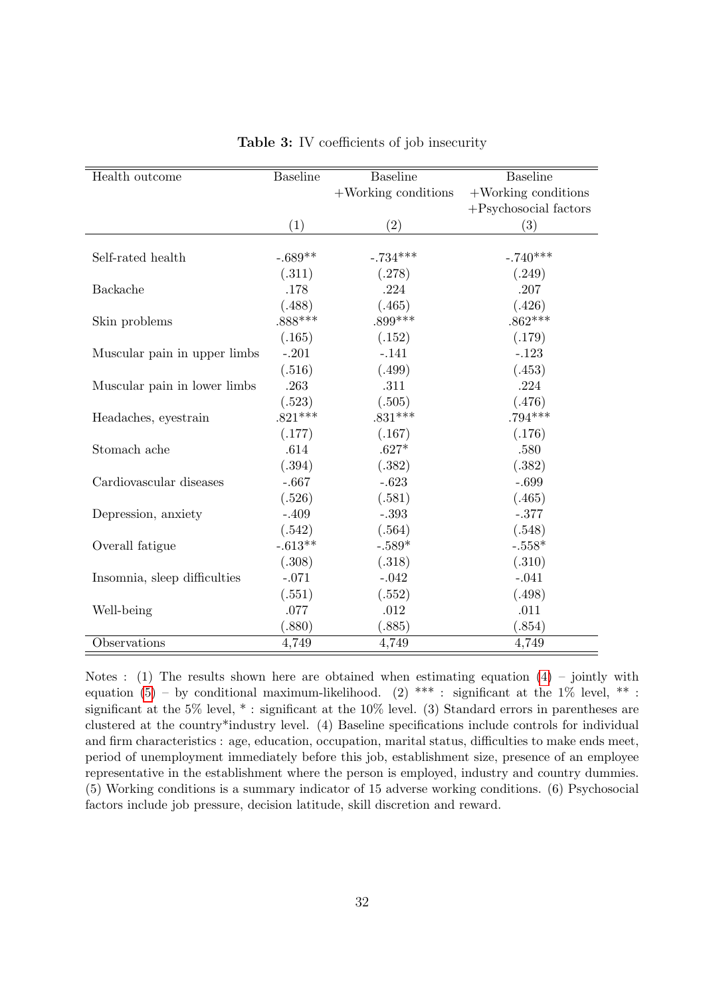<span id="page-33-0"></span>

| Health outcome               | <b>Baseline</b> | <b>Baseline</b>        | <b>Baseline</b>          |
|------------------------------|-----------------|------------------------|--------------------------|
|                              |                 | $+$ Working conditions | $+$ Working conditions   |
|                              |                 |                        | $+$ Psychosocial factors |
|                              | (1)             | (2)                    | (3)                      |
|                              |                 |                        |                          |
| Self-rated health            | $-.689**$       | $-.734***$             | $-.740***$               |
|                              | (.311)          | (.278)                 | (.249)                   |
| Backache                     | .178            | .224                   | .207                     |
|                              | (.488)          | (.465)                 | (.426)                   |
| Skin problems                | $.888***$       | $.899***$              | $.862***$                |
|                              | (.165)          | (.152)                 | (.179)                   |
| Muscular pain in upper limbs | $-.201$         | $-.141$                | $-.123$                  |
|                              | (.516)          | (.499)                 | (.453)                   |
| Muscular pain in lower limbs | .263            | .311                   | .224                     |
|                              | (.523)          | (.505)                 | (.476)                   |
| Headaches, eyestrain         | $.821***$       | $.831***$              | $.794***$                |
|                              | (.177)          | (.167)                 | (.176)                   |
| Stomach ache                 | .614            | $.627*$                | .580                     |
|                              | (.394)          | (.382)                 | (.382)                   |
| Cardiovascular diseases      | $-.667$         | $-.623$                | $-.699$                  |
|                              | (.526)          | (.581)                 | (.465)                   |
| Depression, anxiety          | $-.409$         | $-.393$                | $-.377$                  |
|                              | (.542)          | (.564)                 | (.548)                   |
| Overall fatigue              | $-.613**$       | $-.589*$               | $-.558*$                 |
|                              | (.308)          | (.318)                 | (.310)                   |
| Insomnia, sleep difficulties | $-.071$         | $-.042$                | $-.041$                  |
|                              | (.551)          | (.552)                 | (.498)                   |
| Well-being                   | .077            | .012                   | .011                     |
|                              | (.880)          | (.885)                 | (.854)                   |
| Observations                 | 4,749           | 4,749                  | 4,749                    |

Notes : (1) The results shown here are obtained when estimating equation  $(4)$  – jointly with equation [\(5\)](#page-8-1) – by conditional maximum-likelihood. (2) \*\*\* : significant at the 1% level, \*\* : significant at the 5% level, \* : significant at the 10% level. (3) Standard errors in parentheses are clustered at the country\*industry level. (4) Baseline specifications include controls for individual and firm characteristics : age, education, occupation, marital status, difficulties to make ends meet, period of unemployment immediately before this job, establishment size, presence of an employee representative in the establishment where the person is employed, industry and country dummies. (5) Working conditions is a summary indicator of 15 adverse working conditions. (6) Psychosocial factors include job pressure, decision latitude, skill discretion and reward.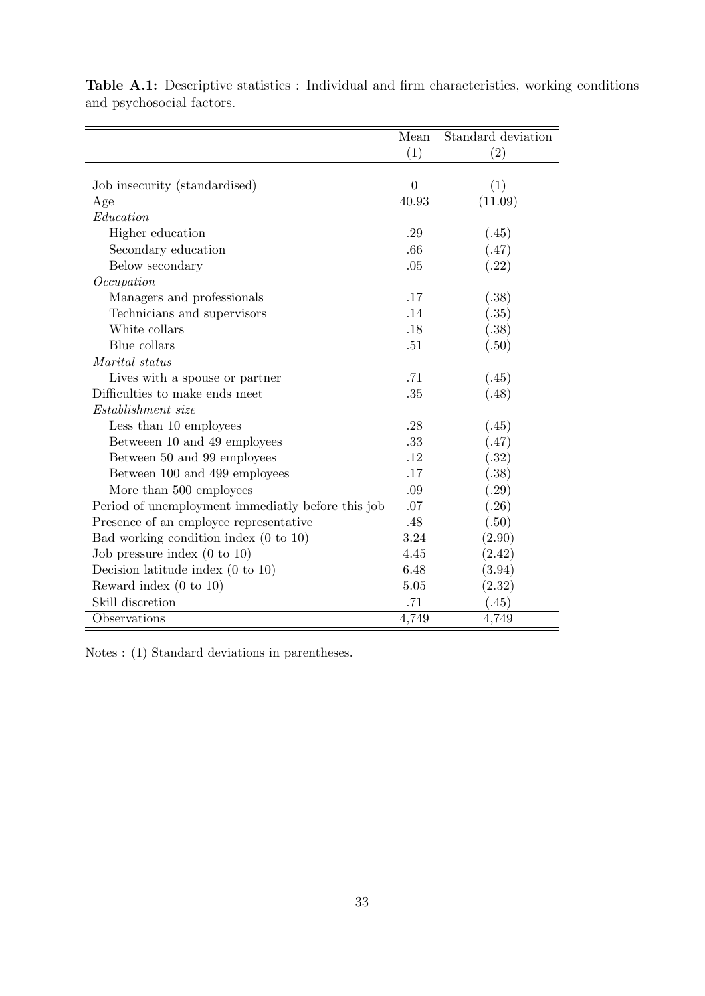|                                                   | Mean     | Standard deviation |
|---------------------------------------------------|----------|--------------------|
|                                                   | (1)      | $\left( 2\right)$  |
|                                                   |          |                    |
| Job insecurity (standardised)                     | $\Omega$ | (1)                |
| Age                                               | 40.93    | (11.09)            |
| Education                                         |          |                    |
| Higher education                                  | .29      | (.45)              |
| Secondary education                               | .66      | (.47)              |
| Below secondary                                   | .05      | (.22)              |
| Occupation                                        |          |                    |
| Managers and professionals                        | .17      | (.38)              |
| Technicians and supervisors                       | .14      | (.35)              |
| White collars                                     | .18      | (.38)              |
| Blue collars                                      | .51      | (.50)              |
| Marital status                                    |          |                    |
| Lives with a spouse or partner                    | .71      | (.45)              |
| Difficulties to make ends meet                    | .35      | (.48)              |
| Establishment size                                |          |                    |
| Less than 10 employees                            | .28      | (.45)              |
| Between 10 and 49 employees                       | .33      | (.47)              |
| Between 50 and 99 employees                       | .12      | (.32)              |
| Between 100 and 499 employees                     | .17      | (.38)              |
| More than 500 employees                           | .09      | (.29)              |
| Period of unemployment immediatly before this job | .07      | (.26)              |
| Presence of an employee representative            | .48      | (.50)              |
| Bad working condition index $(0 \text{ to } 10)$  | 3.24     | (2.90)             |
| Job pressure index $(0 \text{ to } 10)$           | 4.45     | (2.42)             |
| Decision latitude index $(0 \text{ to } 10)$      | 6.48     | (3.94)             |
| Reward index $(0 \text{ to } 10)$                 | 5.05     | (2.32)             |
| Skill discretion                                  | .71      | (.45)              |
| Observations                                      | 4,749    | 4,749              |

<span id="page-34-0"></span>Table A.1: Descriptive statistics : Individual and firm characteristics, working conditions and psychosocial factors.

Notes : (1) Standard deviations in parentheses.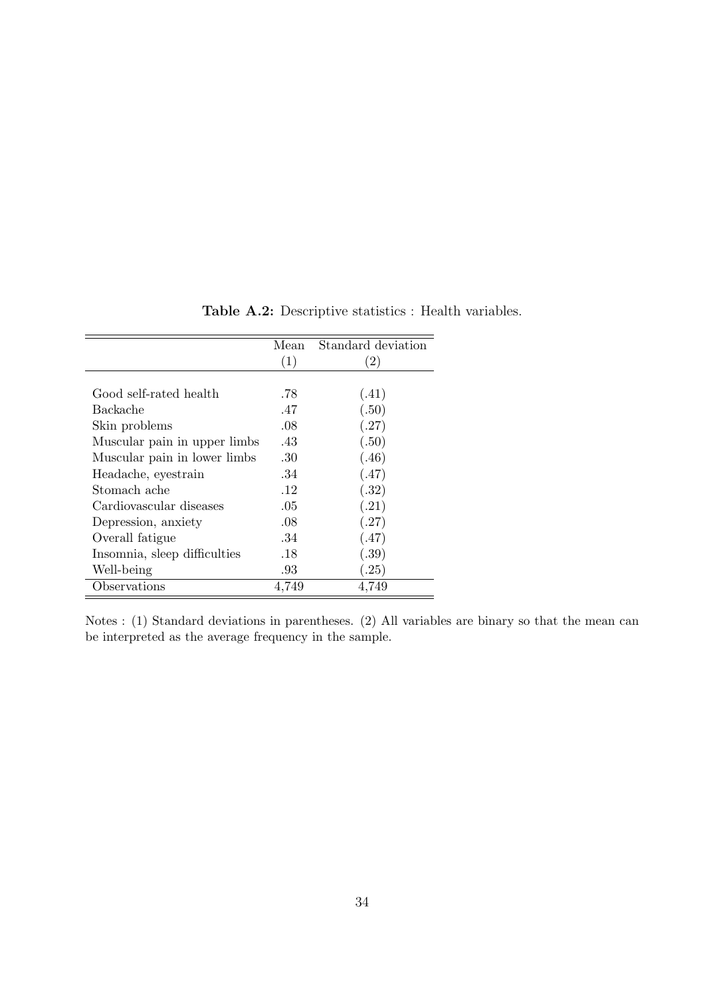<span id="page-35-0"></span>

|                              | Mean  | Standard deviation |
|------------------------------|-------|--------------------|
|                              | (1)   | $\left( 2\right)$  |
|                              |       |                    |
| Good self-rated health       | .78   | (.41)              |
| Backache                     | .47   | (.50)              |
| Skin problems                | .08   | (.27)              |
| Muscular pain in upper limbs | .43   | (.50)              |
| Muscular pain in lower limbs | .30   | (.46)              |
| Headache, eyestrain          | .34   | (.47)              |
| Stomach ache                 | .12   | (.32)              |
| Cardiovascular diseases      | .05   | (.21)              |
| Depression, anxiety          | .08   | (.27)              |
| Overall fatigue              | .34   | (.47)              |
| Insomnia, sleep difficulties | .18   | (.39)              |
| Well-being                   | .93   | (.25)              |
| Observations                 | 4,749 | 4,749              |

Table A.2: Descriptive statistics : Health variables.

Notes : (1) Standard deviations in parentheses. (2) All variables are binary so that the mean can be interpreted as the average frequency in the sample.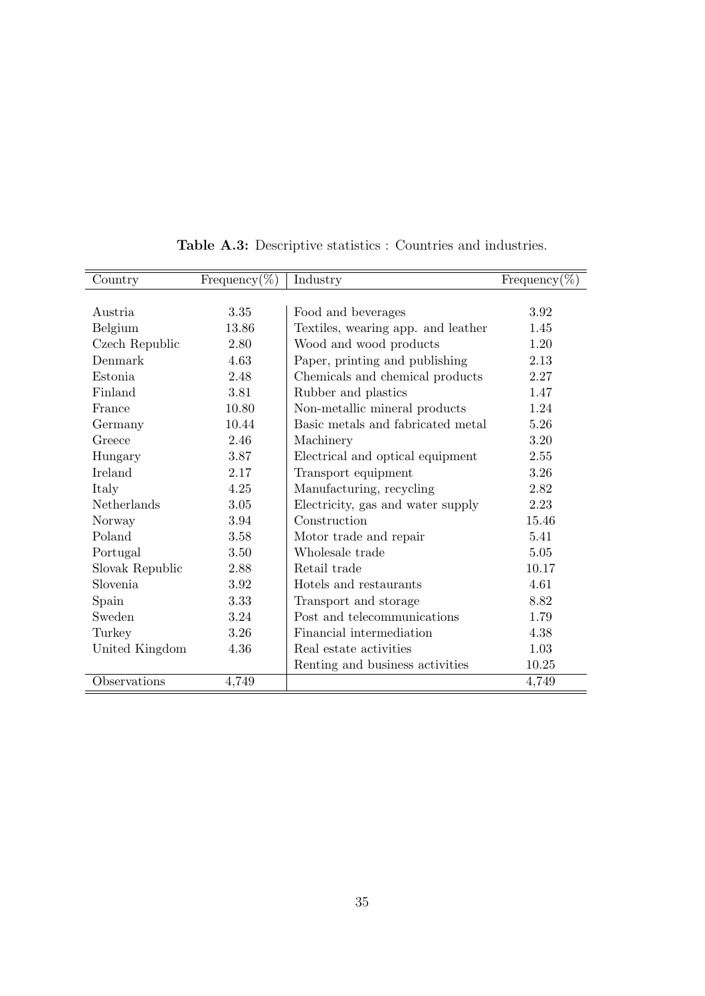<span id="page-36-0"></span>

| Country         | Frequency(%) | Industry                           | Frequency $(\%)$ |
|-----------------|--------------|------------------------------------|------------------|
|                 |              |                                    |                  |
| Austria         | 3.35         | Food and beverages                 | 3.92             |
| Belgium         | 13.86        | Textiles, wearing app. and leather | 1.45             |
| Czech Republic  | 2.80         | Wood and wood products             | 1.20             |
| Denmark         | 4.63         | Paper, printing and publishing     | 2.13             |
| Estonia         | 2.48         | Chemicals and chemical products    | 2.27             |
| Finland         | 3.81         | Rubber and plastics                | 1.47             |
| France          | 10.80        | Non-metallic mineral products      | 1.24             |
| Germany         | 10.44        | Basic metals and fabricated metal  | 5.26             |
| Greece          | 2.46         | Machinery                          | 3.20             |
| Hungary         | 3.87         | Electrical and optical equipment   | 2.55             |
| Ireland         | 2.17         | Transport equipment                | 3.26             |
| Italy           | 4.25         | Manufacturing, recycling           | 2.82             |
| Netherlands     | 3.05         | Electricity, gas and water supply  | 2.23             |
| Norway          | 3.94         | Construction                       | 15.46            |
| Poland          | 3.58         | Motor trade and repair             | 5.41             |
| Portugal        | 3.50         | Wholesale trade                    | 5.05             |
| Slovak Republic | 2.88         | Retail trade                       | 10.17            |
| Slovenia        | 3.92         | Hotels and restaurants             | 4.61             |
| Spain           | 3.33         | Transport and storage              | 8.82             |
| Sweden          | 3.24         | Post and telecommunications        | 1.79             |
| Turkey          | 3.26         | Financial intermediation           | 4.38             |
| United Kingdom  | 4.36         | Real estate activities             | 1.03             |
|                 |              | Renting and business activities    | 10.25            |
| Observations    | 4,749        |                                    | 4,749            |

Table A.3: Descriptive statistics : Countries and industries.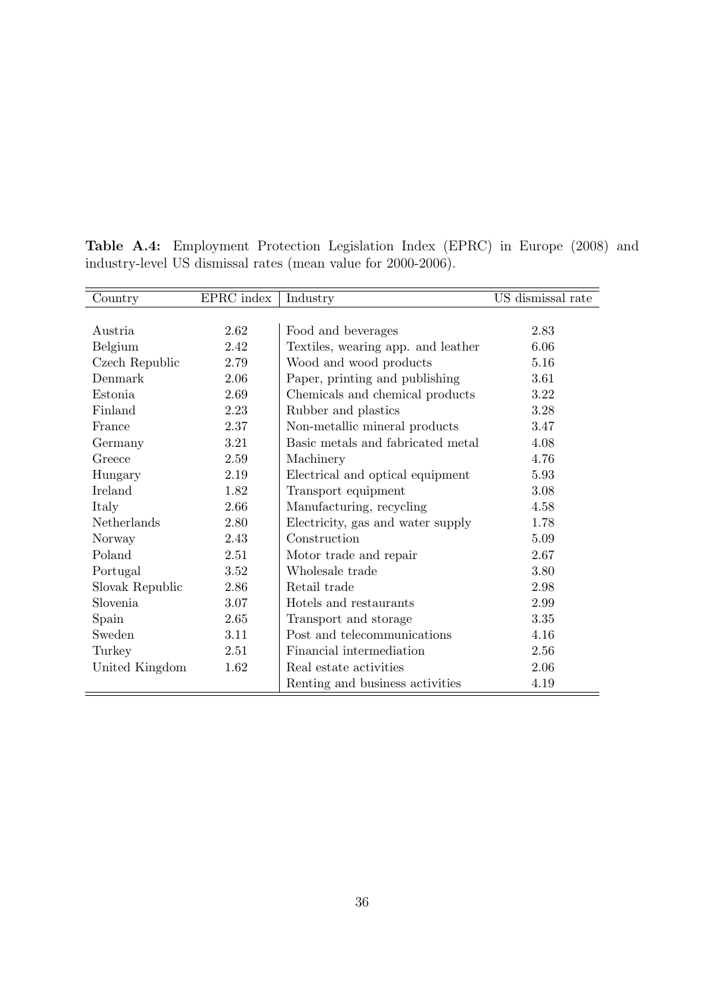| Country         | EPRC index | Industry                           | US dismissal rate |
|-----------------|------------|------------------------------------|-------------------|
|                 |            |                                    |                   |
| Austria         | 2.62       | Food and beverages                 | 2.83              |
| Belgium         | 2.42       | Textiles, wearing app. and leather | 6.06              |
| Czech Republic  | 2.79       | Wood and wood products             | 5.16              |
| Denmark         | 2.06       | Paper, printing and publishing     | 3.61              |
| Estonia         | 2.69       | Chemicals and chemical products    | 3.22              |
| Finland         | 2.23       | Rubber and plastics                | 3.28              |
| France          | 2.37       | Non-metallic mineral products      | 3.47              |
| Germany         | 3.21       | Basic metals and fabricated metal  | 4.08              |
| Greece          | 2.59       | Machinery                          | 4.76              |
| Hungary         | 2.19       | Electrical and optical equipment   | 5.93              |
| Ireland         | 1.82       | Transport equipment                | 3.08              |
| Italy           | 2.66       | Manufacturing, recycling           | 4.58              |
| Netherlands     | 2.80       | Electricity, gas and water supply  | 1.78              |
| Norway          | 2.43       | Construction                       | 5.09              |
| Poland          | 2.51       | Motor trade and repair             | 2.67              |
| Portugal        | 3.52       | Wholesale trade                    | 3.80              |
| Slovak Republic | 2.86       | Retail trade                       | 2.98              |
| Slovenia        | 3.07       | Hotels and restaurants             | 2.99              |
| Spain           | 2.65       | Transport and storage              | 3.35              |
| Sweden          | 3.11       | Post and telecommunications        | 4.16              |
| Turkey          | 2.51       | Financial intermediation           | 2.56              |
| United Kingdom  | 1.62       | Real estate activities             | 2.06              |
|                 |            | Renting and business activities    | 4.19              |

<span id="page-37-0"></span>Table A.4: Employment Protection Legislation Index (EPRC) in Europe (2008) and industry-level US dismissal rates (mean value for 2000-2006).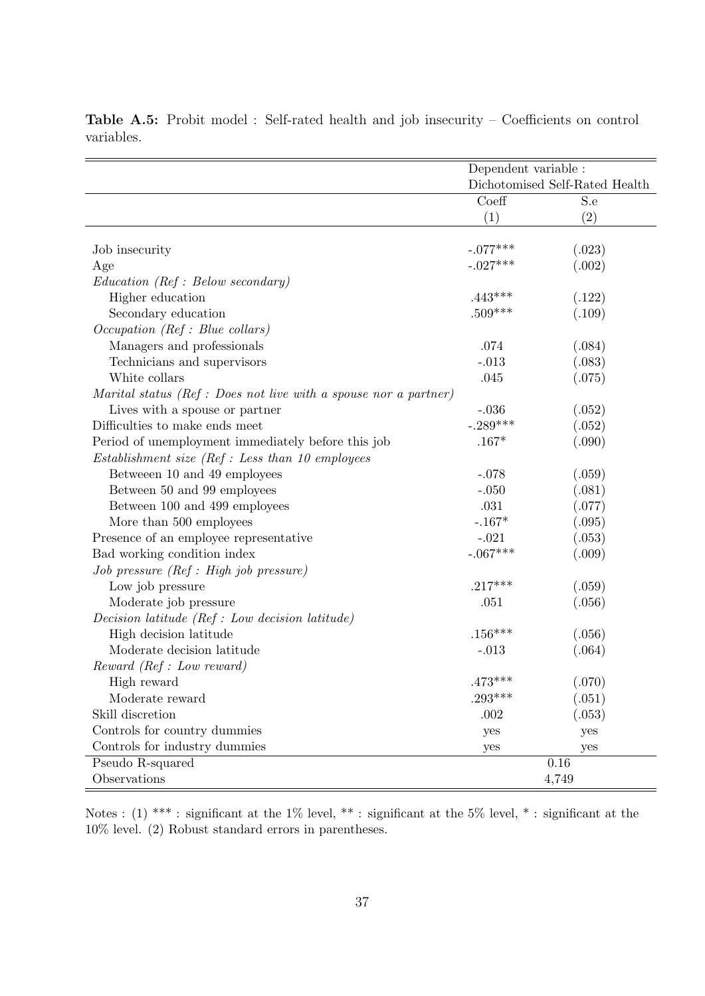|                                                                  | Dependent variable :           |        |
|------------------------------------------------------------------|--------------------------------|--------|
|                                                                  | Dichotomised Self-Rated Health |        |
|                                                                  | Coeff                          | S.e    |
|                                                                  | (1)                            | (2)    |
|                                                                  |                                |        |
| Job insecurity                                                   | $-.077***$                     | (.023) |
| Age                                                              | $-.027***$                     | (.002) |
| Education (Ref : Below secondary)                                |                                |        |
| Higher education                                                 | $.443***$                      | (.122) |
| Secondary education                                              | $.509***$                      | (.109) |
| Occupation (Ref : Blue collars)                                  |                                |        |
| Managers and professionals                                       | .074                           | (.084) |
| Technicians and supervisors                                      | $-.013$                        | (.083) |
| White collars                                                    | .045                           | (.075) |
| Marital status (Ref : Does not live with a spouse nor a partner) |                                |        |
| Lives with a spouse or partner                                   | $-.036$                        | (.052) |
| Difficulties to make ends meet                                   | $-.289***$                     | (.052) |
| Period of unemployment immediately before this job               | $.167*$                        | (.090) |
| $Estabilishment\ size\ (Ref: Less\ than\ 10\ employees$          |                                |        |
| Between 10 and 49 employees                                      | $-.078$                        | (.059) |
| Between 50 and 99 employees                                      | $-.050$                        | (.081) |
| Between 100 and 499 employees                                    | .031                           | (.077) |
| More than 500 employees                                          | $-.167*$                       | (.095) |
| Presence of an employee representative                           | $-.021$                        | (.053) |
| Bad working condition index                                      | $-.067***$                     | (.009) |
| Job pressure (Ref : High job pressure)                           |                                |        |
| Low job pressure                                                 | $.217***$                      | (.059) |
| Moderate job pressure                                            | .051                           | (.056) |
| Decision latitude $(Ref: Low decision latitude)$                 |                                |        |
| High decision latitude                                           | $.156***$                      | (.056) |
| Moderate decision latitude                                       | $-.013$                        | (.064) |
| Reward (Ref : Low reward)                                        |                                |        |
| High reward                                                      | $.473***$                      | (.070) |
| Moderate reward                                                  | $.293***$                      | (.051) |
| Skill discretion                                                 | .002                           | (.053) |
| Controls for country dummies                                     | yes                            | yes    |
| Controls for industry dummies                                    | yes                            | yes    |
| Pseudo R-squared                                                 |                                | 0.16   |
| Observations                                                     |                                | 4,749  |

<span id="page-38-0"></span>Table A.5: Probit model : Self-rated health and job insecurity – Coefficients on control variables.

Notes : (1) \*\*\* : significant at the 1% level, \*\* : significant at the 5% level, \* : significant at the 10% level. (2) Robust standard errors in parentheses.